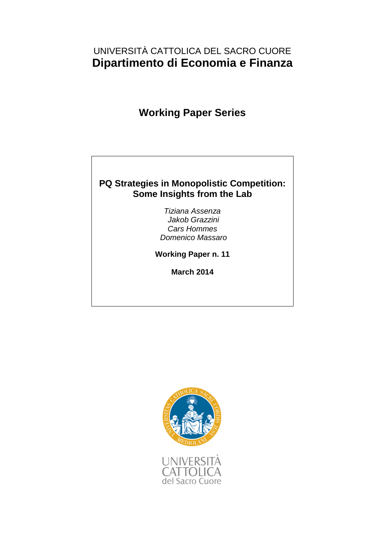# UNIVERSITÀ CATTOLICA DEL SACRO CUORE **Dipartimento di Economia e Finanza**

# **Working Paper Series**

## **PQ Strategies in Monopolistic Competition: Some Insights from the Lab**

*Tiziana Assenza Jakob Grazzini Cars Hommes Domenico Massaro*

**Working Paper n. 11**

**March 2014**

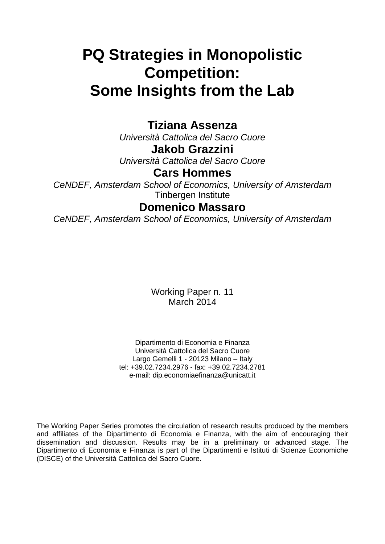# **PQ Strategies in Monopolistic Competition: Some Insights from the Lab**

# **Tiziana Assenza**

*Università Cattolica del Sacro Cuore*

**Jakob Grazzini**

*Università Cattolica del Sacro Cuore*

# **Cars Hommes**

*CeNDEF, Amsterdam School of Economics, University of Amsterdam* Tinbergen Institute

# **Domenico Massaro**

*CeNDEF, Amsterdam School of Economics, University of Amsterdam*

Working Paper n. 11 March 2014

Dipartimento di Economia e Finanza Università Cattolica del Sacro Cuore Largo Gemelli 1 - 20123 Milano – Italy tel: +39.02.7234.2976 - fax: +39.02.7234.2781 e-mail: dip.economiaefinanza@unicatt.it

The Working Paper Series promotes the circulation of research results produced by the members and affiliates of the Dipartimento di Economia e Finanza, with the aim of encouraging their dissemination and discussion. Results may be in a preliminary or advanced stage. The Dipartimento di Economia e Finanza is part of the Dipartimenti e Istituti di Scienze Economiche (DISCE) of the Università Cattolica del Sacro Cuore.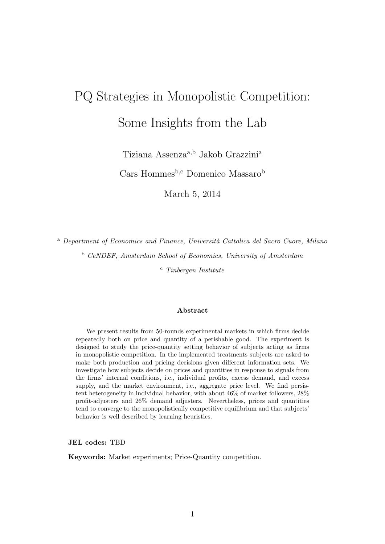# PQ Strategies in Monopolistic Competition: Some Insights from the Lab

Tiziana Assenza<sup>a,b</sup> Jakob Grazzini<sup>a</sup>

Cars Hommes<sup>b,c</sup> Domenico Massaro<sup>b</sup>

March 5, 2014

<sup>a</sup> Department of Economics and Finance, Università Cattolica del Sacro Cuore, Milano

<sup>b</sup> CeNDEF, Amsterdam School of Economics, University of Amsterdam

 $\sigma$  Tinbergen Institute

#### Abstract

We present results from 50-rounds experimental markets in which firms decide repeatedly both on price and quantity of a perishable good. The experiment is designed to study the price-quantity setting behavior of subjects acting as firms in monopolistic competition. In the implemented treatments subjects are asked to make both production and pricing decisions given different information sets. We investigate how subjects decide on prices and quantities in response to signals from the firms' internal conditions, i.e., individual profits, excess demand, and excess supply, and the market environment, i.e., aggregate price level. We find persistent heterogeneity in individual behavior, with about 46% of market followers, 28% profit-adjusters and 26% demand adjusters. Nevertheless, prices and quantities tend to converge to the monopolistically competitive equilibrium and that subjects' behavior is well described by learning heuristics.

JEL codes: TBD

Keywords: Market experiments; Price-Quantity competition.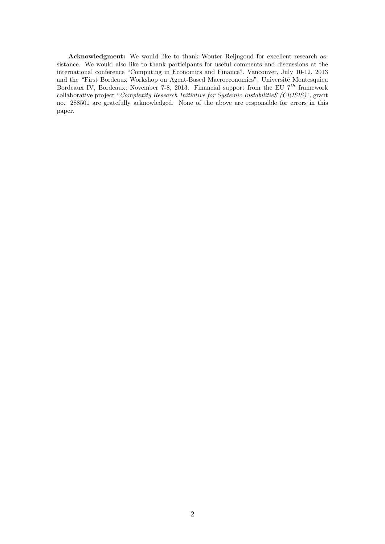Acknowledgment: We would like to thank Wouter Reijngoud for excellent research assistance. We would also like to thank participants for useful comments and discussions at the international conference "Computing in Economics and Finance", Vancouver, July 10-12, 2013 and the "First Bordeaux Workshop on Agent-Based Macroeconomics", Université Montesquieu Bordeaux IV, Bordeaux, November 7-8, 2013. Financial support from the EU  $7^{th}$  framework collaborative project "Complexity Research Initiative for Systemic InstabilitieS (CRISIS)", grant no. 288501 are gratefully acknowledged. None of the above are responsible for errors in this paper.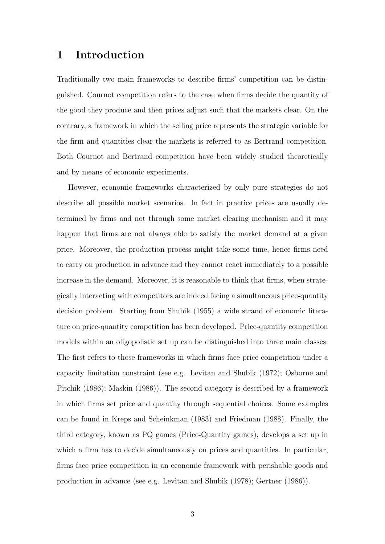## 1 Introduction

Traditionally two main frameworks to describe firms' competition can be distinguished. Cournot competition refers to the case when firms decide the quantity of the good they produce and then prices adjust such that the markets clear. On the contrary, a framework in which the selling price represents the strategic variable for the firm and quantities clear the markets is referred to as Bertrand competition. Both Cournot and Bertrand competition have been widely studied theoretically and by means of economic experiments.

However, economic frameworks characterized by only pure strategies do not describe all possible market scenarios. In fact in practice prices are usually determined by firms and not through some market clearing mechanism and it may happen that firms are not always able to satisfy the market demand at a given price. Moreover, the production process might take some time, hence firms need to carry on production in advance and they cannot react immediately to a possible increase in the demand. Moreover, it is reasonable to think that firms, when strategically interacting with competitors are indeed facing a simultaneous price-quantity decision problem. Starting from Shubik (1955) a wide strand of economic literature on price-quantity competition has been developed. Price-quantity competition models within an oligopolistic set up can be distinguished into three main classes. The first refers to those frameworks in which firms face price competition under a capacity limitation constraint (see e.g. Levitan and Shubik (1972); Osborne and Pitchik (1986); Maskin (1986)). The second category is described by a framework in which firms set price and quantity through sequential choices. Some examples can be found in Kreps and Scheinkman (1983) and Friedman (1988). Finally, the third category, known as PQ games (Price-Quantity games), develops a set up in which a firm has to decide simultaneously on prices and quantities. In particular, firms face price competition in an economic framework with perishable goods and production in advance (see e.g. Levitan and Shubik (1978); Gertner (1986)).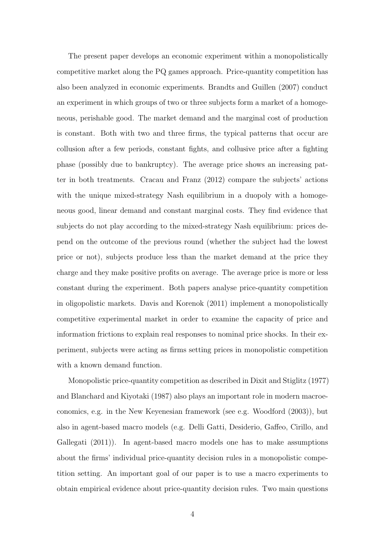The present paper develops an economic experiment within a monopolistically competitive market along the PQ games approach. Price-quantity competition has also been analyzed in economic experiments. Brandts and Guillen (2007) conduct an experiment in which groups of two or three subjects form a market of a homogeneous, perishable good. The market demand and the marginal cost of production is constant. Both with two and three firms, the typical patterns that occur are collusion after a few periods, constant fights, and collusive price after a fighting phase (possibly due to bankruptcy). The average price shows an increasing patter in both treatments. Cracau and Franz (2012) compare the subjects' actions with the unique mixed-strategy Nash equilibrium in a duopoly with a homogeneous good, linear demand and constant marginal costs. They find evidence that subjects do not play according to the mixed-strategy Nash equilibrium: prices depend on the outcome of the previous round (whether the subject had the lowest price or not), subjects produce less than the market demand at the price they charge and they make positive profits on average. The average price is more or less constant during the experiment. Both papers analyse price-quantity competition in oligopolistic markets. Davis and Korenok (2011) implement a monopolistically competitive experimental market in order to examine the capacity of price and information frictions to explain real responses to nominal price shocks. In their experiment, subjects were acting as firms setting prices in monopolistic competition with a known demand function.

Monopolistic price-quantity competition as described in Dixit and Stiglitz (1977) and Blanchard and Kiyotaki (1987) also plays an important role in modern macroeconomics, e.g. in the New Keyenesian framework (see e.g. Woodford (2003)), but also in agent-based macro models (e.g. Delli Gatti, Desiderio, Gaffeo, Cirillo, and Gallegati (2011)). In agent-based macro models one has to make assumptions about the firms' individual price-quantity decision rules in a monopolistic competition setting. An important goal of our paper is to use a macro experiments to obtain empirical evidence about price-quantity decision rules. Two main questions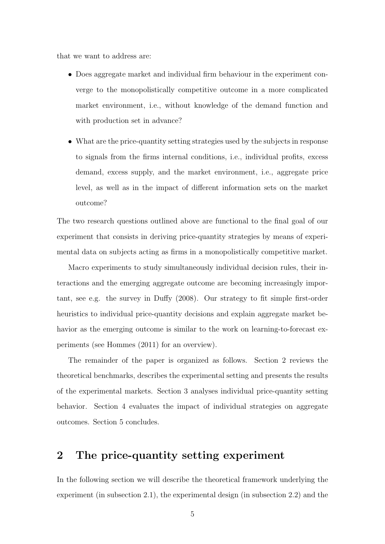that we want to address are:

- Does aggregate market and individual firm behaviour in the experiment converge to the monopolistically competitive outcome in a more complicated market environment, i.e., without knowledge of the demand function and with production set in advance?
- What are the price-quantity setting strategies used by the subjects in response to signals from the firms internal conditions, i.e., individual profits, excess demand, excess supply, and the market environment, i.e., aggregate price level, as well as in the impact of different information sets on the market outcome?

The two research questions outlined above are functional to the final goal of our experiment that consists in deriving price-quantity strategies by means of experimental data on subjects acting as firms in a monopolistically competitive market.

Macro experiments to study simultaneously individual decision rules, their interactions and the emerging aggregate outcome are becoming increasingly important, see e.g. the survey in Duffy (2008). Our strategy to fit simple first-order heuristics to individual price-quantity decisions and explain aggregate market behavior as the emerging outcome is similar to the work on learning-to-forecast experiments (see Hommes (2011) for an overview).

The remainder of the paper is organized as follows. Section 2 reviews the theoretical benchmarks, describes the experimental setting and presents the results of the experimental markets. Section 3 analyses individual price-quantity setting behavior. Section 4 evaluates the impact of individual strategies on aggregate outcomes. Section 5 concludes.

# 2 The price-quantity setting experiment

In the following section we will describe the theoretical framework underlying the experiment (in subsection 2.1), the experimental design (in subsection 2.2) and the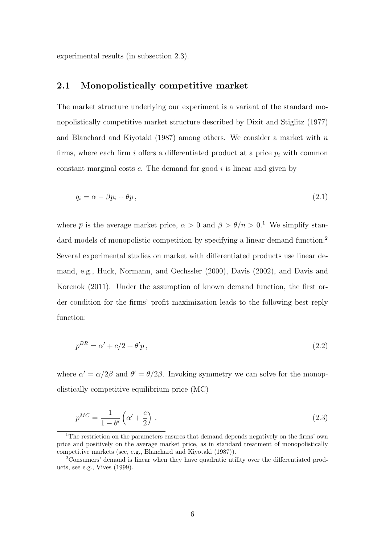experimental results (in subsection 2.3).

### 2.1 Monopolistically competitive market

The market structure underlying our experiment is a variant of the standard monopolistically competitive market structure described by Dixit and Stiglitz (1977) and Blanchard and Kiyotaki (1987) among others. We consider a market with  $n$ firms, where each firm i offers a differentiated product at a price  $p_i$  with common constant marginal costs  $c$ . The demand for good  $i$  is linear and given by

$$
q_i = \alpha - \beta p_i + \theta \overline{p} \,, \tag{2.1}
$$

where  $\bar{p}$  is the average market price,  $\alpha > 0$  and  $\beta > \theta/n > 0$ .<sup>1</sup> We simplify standard models of monopolistic competition by specifying a linear demand function.<sup>2</sup> Several experimental studies on market with differentiated products use linear demand, e.g., Huck, Normann, and Oechssler (2000), Davis (2002), and Davis and Korenok (2011). Under the assumption of known demand function, the first order condition for the firms' profit maximization leads to the following best reply function:

$$
p^{BR} = \alpha' + c/2 + \theta'\overline{p},\tag{2.2}
$$

where  $\alpha' = \alpha/2\beta$  and  $\theta' = \theta/2\beta$ . Invoking symmetry we can solve for the monopolistically competitive equilibrium price (MC)

$$
p^{MC} = \frac{1}{1 - \theta'} \left( \alpha' + \frac{c}{2} \right) \,. \tag{2.3}
$$

<sup>1</sup>The restriction on the parameters ensures that demand depends negatively on the firms' own price and positively on the average market price, as in standard treatment of monopolistically competitive markets (see, e.g., Blanchard and Kiyotaki (1987)).

<sup>2</sup>Consumers' demand is linear when they have quadratic utility over the differentiated products, see e.g., Vives (1999).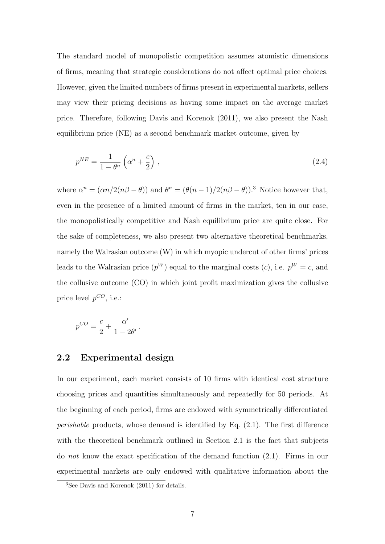The standard model of monopolistic competition assumes atomistic dimensions of firms, meaning that strategic considerations do not affect optimal price choices. However, given the limited numbers of firms present in experimental markets, sellers may view their pricing decisions as having some impact on the average market price. Therefore, following Davis and Korenok (2011), we also present the Nash equilibrium price (NE) as a second benchmark market outcome, given by

$$
p^{NE} = \frac{1}{1 - \theta^n} \left( \alpha^n + \frac{c}{2} \right) \,, \tag{2.4}
$$

where  $\alpha^n = (\alpha n/2(n\beta - \theta))$  and  $\theta^n = (\theta(n-1)/2(n\beta - \theta))$ .<sup>3</sup> Notice however that, even in the presence of a limited amount of firms in the market, ten in our case, the monopolistically competitive and Nash equilibrium price are quite close. For the sake of completeness, we also present two alternative theoretical benchmarks, namely the Walrasian outcome (W) in which myopic undercut of other firms' prices leads to the Walrasian price  $(p^W)$  equal to the marginal costs  $(c)$ , i.e.  $p^W = c$ , and the collusive outcome (CO) in which joint profit maximization gives the collusive price level  $p^{CO}$ , i.e.:

$$
p^{CO} = \frac{c}{2} + \frac{\alpha'}{1 - 2\theta'}.
$$

## 2.2 Experimental design

In our experiment, each market consists of 10 firms with identical cost structure choosing prices and quantities simultaneously and repeatedly for 50 periods. At the beginning of each period, firms are endowed with symmetrically differentiated *perishable* products, whose demand is identified by Eq.  $(2.1)$ . The first difference with the theoretical benchmark outlined in Section 2.1 is the fact that subjects do not know the exact specification of the demand function (2.1). Firms in our experimental markets are only endowed with qualitative information about the

 $3$ See Davis and Korenok (2011) for details.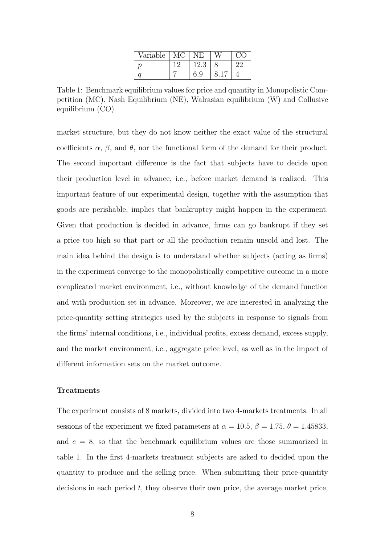| Variable |      |  |
|----------|------|--|
|          | 12.3 |  |
|          | 6.9  |  |

Table 1: Benchmark equilibrium values for price and quantity in Monopolistic Competition (MC), Nash Equilibrium (NE), Walrasian equilibrium (W) and Collusive equilibrium (CO)

market structure, but they do not know neither the exact value of the structural coefficients  $\alpha$ ,  $\beta$ , and  $\theta$ , nor the functional form of the demand for their product. The second important difference is the fact that subjects have to decide upon their production level in advance, i.e., before market demand is realized. This important feature of our experimental design, together with the assumption that goods are perishable, implies that bankruptcy might happen in the experiment. Given that production is decided in advance, firms can go bankrupt if they set a price too high so that part or all the production remain unsold and lost. The main idea behind the design is to understand whether subjects (acting as firms) in the experiment converge to the monopolistically competitive outcome in a more complicated market environment, i.e., without knowledge of the demand function and with production set in advance. Moreover, we are interested in analyzing the price-quantity setting strategies used by the subjects in response to signals from the firms' internal conditions, i.e., individual profits, excess demand, excess supply, and the market environment, i.e., aggregate price level, as well as in the impact of different information sets on the market outcome.

#### **Treatments**

The experiment consists of 8 markets, divided into two 4-markets treatments. In all sessions of the experiment we fixed parameters at  $\alpha = 10.5$ ,  $\beta = 1.75$ ,  $\theta = 1.45833$ , and  $c = 8$ , so that the benchmark equilibrium values are those summarized in table 1. In the first 4-markets treatment subjects are asked to decided upon the quantity to produce and the selling price. When submitting their price-quantity decisions in each period  $t$ , they observe their own price, the average market price,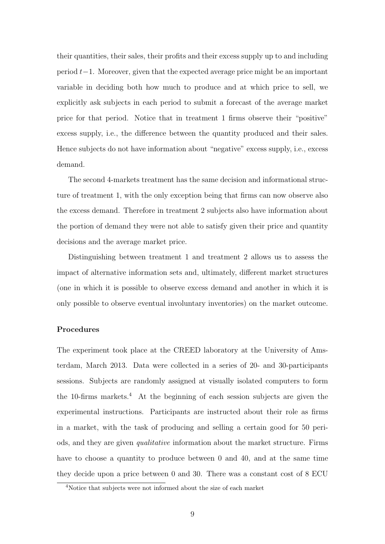their quantities, their sales, their profits and their excess supply up to and including period t−1. Moreover, given that the expected average price might be an important variable in deciding both how much to produce and at which price to sell, we explicitly ask subjects in each period to submit a forecast of the average market price for that period. Notice that in treatment 1 firms observe their "positive" excess supply, i.e., the difference between the quantity produced and their sales. Hence subjects do not have information about "negative" excess supply, i.e., excess demand.

The second 4-markets treatment has the same decision and informational structure of treatment 1, with the only exception being that firms can now observe also the excess demand. Therefore in treatment 2 subjects also have information about the portion of demand they were not able to satisfy given their price and quantity decisions and the average market price.

Distinguishing between treatment 1 and treatment 2 allows us to assess the impact of alternative information sets and, ultimately, different market structures (one in which it is possible to observe excess demand and another in which it is only possible to observe eventual involuntary inventories) on the market outcome.

#### Procedures

The experiment took place at the CREED laboratory at the University of Amsterdam, March 2013. Data were collected in a series of 20- and 30-participants sessions. Subjects are randomly assigned at visually isolated computers to form the 10-firms markets.<sup>4</sup> At the beginning of each session subjects are given the experimental instructions. Participants are instructed about their role as firms in a market, with the task of producing and selling a certain good for 50 periods, and they are given qualitative information about the market structure. Firms have to choose a quantity to produce between 0 and 40, and at the same time they decide upon a price between 0 and 30. There was a constant cost of 8 ECU

<sup>4</sup>Notice that subjects were not informed about the size of each market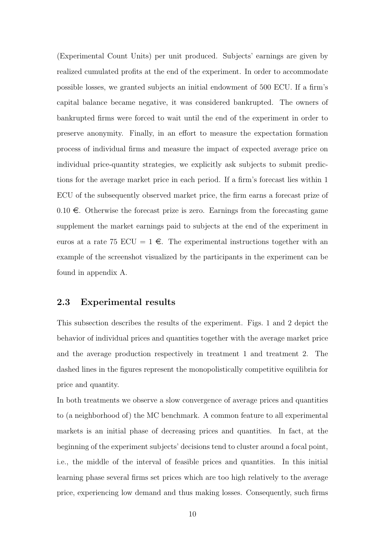(Experimental Count Units) per unit produced. Subjects' earnings are given by realized cumulated profits at the end of the experiment. In order to accommodate possible losses, we granted subjects an initial endowment of 500 ECU. If a firm's capital balance became negative, it was considered bankrupted. The owners of bankrupted firms were forced to wait until the end of the experiment in order to preserve anonymity. Finally, in an effort to measure the expectation formation process of individual firms and measure the impact of expected average price on individual price-quantity strategies, we explicitly ask subjects to submit predictions for the average market price in each period. If a firm's forecast lies within 1 ECU of the subsequently observed market price, the firm earns a forecast prize of  $0.10 \in$ . Otherwise the forecast prize is zero. Earnings from the forecasting game supplement the market earnings paid to subjects at the end of the experiment in euros at a rate 75 ECU =  $1 \in$ . The experimental instructions together with an example of the screenshot visualized by the participants in the experiment can be found in appendix A.

## 2.3 Experimental results

This subsection describes the results of the experiment. Figs. 1 and 2 depict the behavior of individual prices and quantities together with the average market price and the average production respectively in treatment 1 and treatment 2. The dashed lines in the figures represent the monopolistically competitive equilibria for price and quantity.

In both treatments we observe a slow convergence of average prices and quantities to (a neighborhood of) the MC benchmark. A common feature to all experimental markets is an initial phase of decreasing prices and quantities. In fact, at the beginning of the experiment subjects' decisions tend to cluster around a focal point, i.e., the middle of the interval of feasible prices and quantities. In this initial learning phase several firms set prices which are too high relatively to the average price, experiencing low demand and thus making losses. Consequently, such firms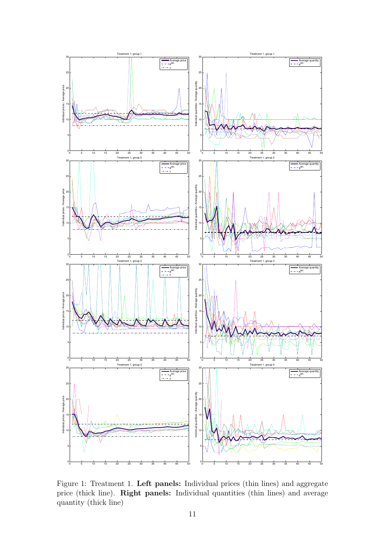

Figure 1: Treatment 1. Left panels: Individual prices (thin lines) and aggregate price (thick line). Right panels: Individual quantities (thin lines) and average quantity (thick line)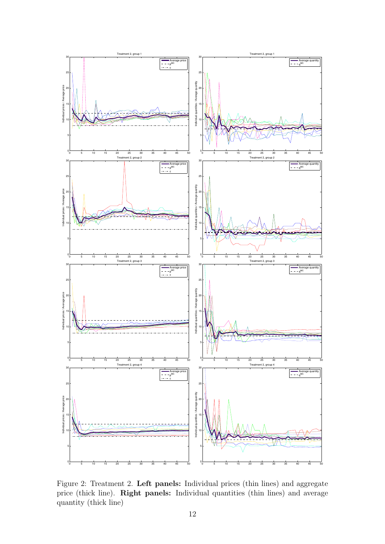

Figure 2: Treatment 2. Left panels: Individual prices (thin lines) and aggregate price (thick line). Right panels: Individual quantities (thin lines) and average quantity (thick line)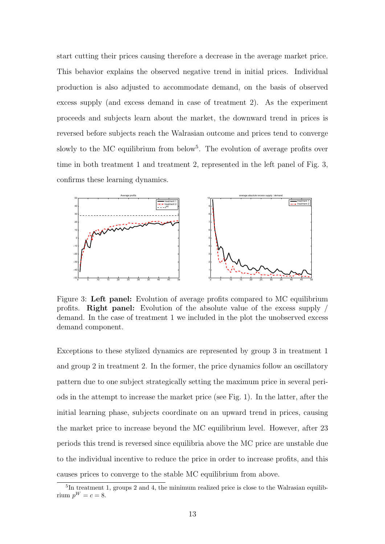start cutting their prices causing therefore a decrease in the average market price. This behavior explains the observed negative trend in initial prices. Individual production is also adjusted to accommodate demand, on the basis of observed excess supply (and excess demand in case of treatment 2). As the experiment proceeds and subjects learn about the market, the downward trend in prices is reversed before subjects reach the Walrasian outcome and prices tend to converge slowly to the MC equilibrium from below<sup>5</sup>. The evolution of average profits over time in both treatment 1 and treatment 2, represented in the left panel of Fig. 3, confirms these learning dynamics.



Figure 3: Left panel: Evolution of average profits compared to MC equilibrium profits. Right panel: Evolution of the absolute value of the excess supply / demand. In the case of treatment 1 we included in the plot the unobserved excess demand component.

Exceptions to these stylized dynamics are represented by group 3 in treatment 1 and group 2 in treatment 2. In the former, the price dynamics follow an oscillatory pattern due to one subject strategically setting the maximum price in several periods in the attempt to increase the market price (see Fig. 1). In the latter, after the initial learning phase, subjects coordinate on an upward trend in prices, causing the market price to increase beyond the MC equilibrium level. However, after 23 periods this trend is reversed since equilibria above the MC price are unstable due to the individual incentive to reduce the price in order to increase profits, and this causes prices to converge to the stable MC equilibrium from above.

<sup>&</sup>lt;sup>5</sup>In treatment 1, groups 2 and 4, the minimum realized price is close to the Walrasian equilibrium  $p^W = c = 8$ .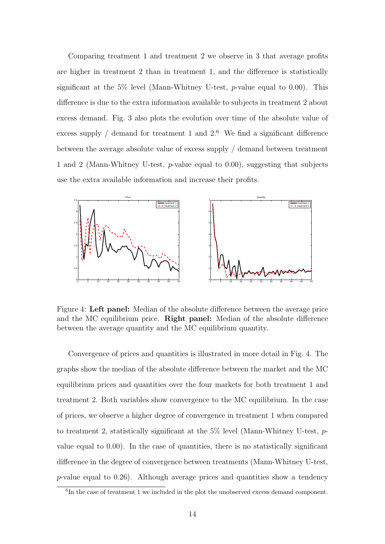Comparing treatment 1 and treatment 2 we observe in 3 that average profits are higher in treatment 2 than in treatment 1, and the difference is statistically significant at the 5% level (Mann-Whitney U-test,  $p$ -value equal to 0.00). This difference is due to the extra information available to subjects in treatment 2 about excess demand. Fig. 3 also plots the evolution over time of the absolute value of excess supply  $\ell$  demand for treatment 1 and 2.<sup>6</sup> We find a significant difference between the average absolute value of excess supply / demand between treatment 1 and 2 (Mann-Whitney U-test, p-value equal to 0.00), suggesting that subjects use the extra available information and increase their profits.



Figure 4: Left panel: Median of the absolute difference between the average price and the MC equilibrium price. Right panel: Median of the absolute difference between the average quantity and the MC equilibrium quantity.

Convergence of prices and quantities is illustrated in more detail in Fig. 4. The graphs show the median of the absolute difference between the market and the MC equilibrium prices and quantities over the four markets for both treatment 1 and treatment 2. Both variables show convergence to the MC equilibrium. In the case of prices, we observe a higher degree of convergence in treatment 1 when compared to treatment 2, statistically significant at the 5% level (Mann-Whitney U-test, pvalue equal to 0.00). In the case of quantities, there is no statistically significant difference in the degree of convergence between treatments (Mann-Whitney U-test, p-value equal to 0.26). Although average prices and quantities show a tendency

<sup>&</sup>lt;sup>6</sup>In the case of treatment 1 we included in the plot the unobserved excess demand component.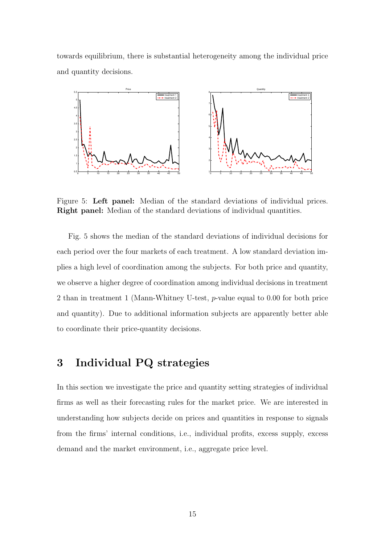towards equilibrium, there is substantial heterogeneity among the individual price and quantity decisions.



Figure 5: Left panel: Median of the standard deviations of individual prices. Right panel: Median of the standard deviations of individual quantities.

Fig. 5 shows the median of the standard deviations of individual decisions for each period over the four markets of each treatment. A low standard deviation implies a high level of coordination among the subjects. For both price and quantity, we observe a higher degree of coordination among individual decisions in treatment 2 than in treatment 1 (Mann-Whitney U-test, p-value equal to 0.00 for both price and quantity). Due to additional information subjects are apparently better able to coordinate their price-quantity decisions.

## 3 Individual PQ strategies

In this section we investigate the price and quantity setting strategies of individual firms as well as their forecasting rules for the market price. We are interested in understanding how subjects decide on prices and quantities in response to signals from the firms' internal conditions, i.e., individual profits, excess supply, excess demand and the market environment, i.e., aggregate price level.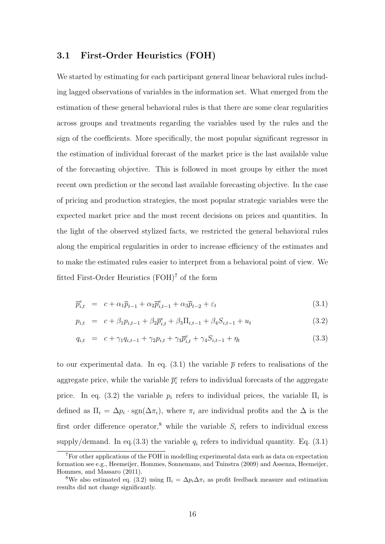## 3.1 First-Order Heuristics (FOH)

We started by estimating for each participant general linear behavioral rules including lagged observations of variables in the information set. What emerged from the estimation of these general behavioral rules is that there are some clear regularities across groups and treatments regarding the variables used by the rules and the sign of the coefficients. More specifically, the most popular significant regressor in the estimation of individual forecast of the market price is the last available value of the forecasting objective. This is followed in most groups by either the most recent own prediction or the second last available forecasting objective. In the case of pricing and production strategies, the most popular strategic variables were the expected market price and the most recent decisions on prices and quantities. In the light of the observed stylized facts, we restricted the general behavioral rules along the empirical regularities in order to increase efficiency of the estimates and to make the estimated rules easier to interpret from a behavioral point of view. We fitted First-Order Heuristics (FOH)<sup>7</sup> of the form

$$
\overline{p}_{i,t}^e = c + \alpha_1 \overline{p}_{t-1} + \alpha_2 \overline{p}_{i,t-1}^e + \alpha_3 \overline{p}_{t-2} + \varepsilon_t
$$
\n(3.1)

$$
p_{i,t} = c + \beta_1 p_{i,t-1} + \beta_2 \overline{p}_{i,t}^e + \beta_3 \Pi_{i,t-1} + \beta_4 S_{i,t-1} + u_t \tag{3.2}
$$

$$
q_{i,t} = c + \gamma_1 q_{i,t-1} + \gamma_2 p_{i,t} + \gamma_3 \overline{p}_{i,t}^e + \gamma_4 S_{i,t-1} + \eta_t
$$
\n(3.3)

to our experimental data. In eq. (3.1) the variable  $\bar{p}$  refers to realisations of the aggregate price, while the variable  $\bar{p}_i^e$  refers to individual forecasts of the aggregate price. In eq. (3.2) the variable  $p_i$  refers to individual prices, the variable  $\Pi_i$  is defined as  $\Pi_i = \Delta p_i \cdot \text{sgn}(\Delta \pi_i)$ , where  $\pi_i$  are individual profits and the  $\Delta$  is the first order difference operator,<sup>8</sup> while the variable  $S_i$  refers to individual excess supply/demand. In eq.(3.3) the variable  $q_i$  refers to individual quantity. Eq. (3.1)

<sup>7</sup>For other applications of the FOH in modelling experimental data such as data on expectation formation see e.g., Heemeijer, Hommes, Sonnemans, and Tuinstra (2009) and Assenza, Heemeijer, Hommes, and Massaro (2011).

<sup>&</sup>lt;sup>8</sup>We also estimated eq. (3.2) using  $\Pi_i = \Delta p_i \Delta \pi_i$  as profit feedback measure and estimation results did not change significantly.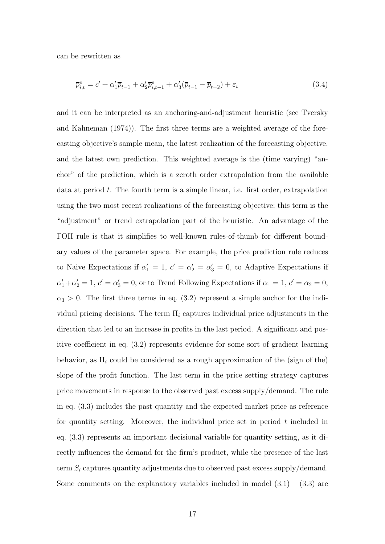can be rewritten as

$$
\overline{p}_{i,t}^e = c' + \alpha_1' \overline{p}_{t-1} + \alpha_2' \overline{p}_{i,t-1}^e + \alpha_3' (\overline{p}_{t-1} - \overline{p}_{t-2}) + \varepsilon_t
$$
\n(3.4)

and it can be interpreted as an anchoring-and-adjustment heuristic (see Tversky and Kahneman (1974)). The first three terms are a weighted average of the forecasting objective's sample mean, the latest realization of the forecasting objective, and the latest own prediction. This weighted average is the (time varying) "anchor" of the prediction, which is a zeroth order extrapolation from the available data at period  $t$ . The fourth term is a simple linear, i.e. first order, extrapolation using the two most recent realizations of the forecasting objective; this term is the "adjustment" or trend extrapolation part of the heuristic. An advantage of the FOH rule is that it simplifies to well-known rules-of-thumb for different boundary values of the parameter space. For example, the price prediction rule reduces to Naive Expectations if  $\alpha'_1 = 1, c' = \alpha'_2 = \alpha'_3 = 0$ , to Adaptive Expectations if  $\alpha'_1 + \alpha'_2 = 1, c' = \alpha'_3 = 0$ , or to Trend Following Expectations if  $\alpha_1 = 1, c' = \alpha_2 = 0$ ,  $\alpha_3 > 0$ . The first three terms in eq. (3.2) represent a simple anchor for the individual pricing decisions. The term  $\Pi_i$  captures individual price adjustments in the direction that led to an increase in profits in the last period. A significant and positive coefficient in eq. (3.2) represents evidence for some sort of gradient learning behavior, as  $\Pi_i$  could be considered as a rough approximation of the (sign of the) slope of the profit function. The last term in the price setting strategy captures price movements in response to the observed past excess supply/demand. The rule in eq. (3.3) includes the past quantity and the expected market price as reference for quantity setting. Moreover, the individual price set in period  $t$  included in eq. (3.3) represents an important decisional variable for quantity setting, as it directly influences the demand for the firm's product, while the presence of the last term  $S_i$  captures quantity adjustments due to observed past excess supply/demand. Some comments on the explanatory variables included in model  $(3.1) - (3.3)$  are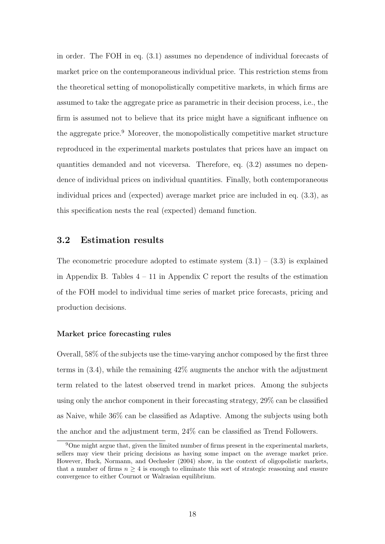in order. The FOH in eq. (3.1) assumes no dependence of individual forecasts of market price on the contemporaneous individual price. This restriction stems from the theoretical setting of monopolistically competitive markets, in which firms are assumed to take the aggregate price as parametric in their decision process, i.e., the firm is assumed not to believe that its price might have a significant influence on the aggregate price.<sup>9</sup> Moreover, the monopolistically competitive market structure reproduced in the experimental markets postulates that prices have an impact on quantities demanded and not viceversa. Therefore, eq. (3.2) assumes no dependence of individual prices on individual quantities. Finally, both contemporaneous individual prices and (expected) average market price are included in eq. (3.3), as this specification nests the real (expected) demand function.

## 3.2 Estimation results

The econometric procedure adopted to estimate system  $(3.1) - (3.3)$  is explained in Appendix B. Tables  $4 - 11$  in Appendix C report the results of the estimation of the FOH model to individual time series of market price forecasts, pricing and production decisions.

#### Market price forecasting rules

Overall, 58% of the subjects use the time-varying anchor composed by the first three terms in (3.4), while the remaining 42% augments the anchor with the adjustment term related to the latest observed trend in market prices. Among the subjects using only the anchor component in their forecasting strategy, 29% can be classified as Naive, while 36% can be classified as Adaptive. Among the subjects using both the anchor and the adjustment term, 24% can be classified as Trend Followers.

<sup>9</sup>One might argue that, given the limited number of firms present in the experimental markets, sellers may view their pricing decisions as having some impact on the average market price. However, Huck, Normann, and Oechssler (2004) show, in the context of oligopolistic markets, that a number of firms  $n \geq 4$  is enough to eliminate this sort of strategic reasoning and ensure convergence to either Cournot or Walrasian equilibrium.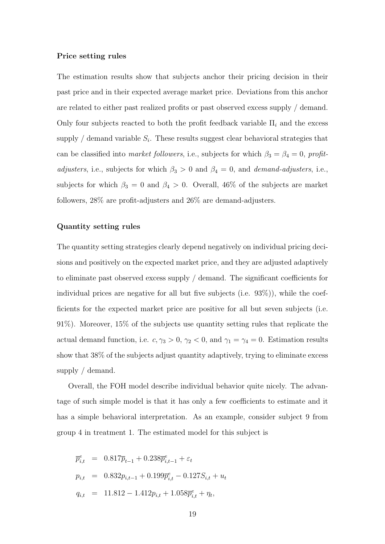#### Price setting rules

The estimation results show that subjects anchor their pricing decision in their past price and in their expected average market price. Deviations from this anchor are related to either past realized profits or past observed excess supply / demand. Only four subjects reacted to both the profit feedback variable  $\Pi_i$  and the excess supply / demand variable  $S_i$ . These results suggest clear behavioral strategies that can be classified into market followers, i.e., subjects for which  $\beta_3 = \beta_4 = 0$ , profitadjusters, i.e., subjects for which  $\beta_3 > 0$  and  $\beta_4 = 0$ , and demand-adjusters, i.e., subjects for which  $\beta_3 = 0$  and  $\beta_4 > 0$ . Overall, 46% of the subjects are market followers, 28% are profit-adjusters and 26% are demand-adjusters.

#### Quantity setting rules

The quantity setting strategies clearly depend negatively on individual pricing decisions and positively on the expected market price, and they are adjusted adaptively to eliminate past observed excess supply / demand. The significant coefficients for individual prices are negative for all but five subjects (i.e. 93%)), while the coefficients for the expected market price are positive for all but seven subjects (i.e. 91%). Moreover, 15% of the subjects use quantity setting rules that replicate the actual demand function, i.e.  $c, \gamma_3 > 0, \gamma_2 < 0$ , and  $\gamma_1 = \gamma_4 = 0$ . Estimation results show that 38% of the subjects adjust quantity adaptively, trying to eliminate excess supply / demand.

Overall, the FOH model describe individual behavior quite nicely. The advantage of such simple model is that it has only a few coefficients to estimate and it has a simple behavioral interpretation. As an example, consider subject 9 from group 4 in treatment 1. The estimated model for this subject is

$$
\overline{p}_{i,t}^{e} = 0.817\overline{p}_{t-1} + 0.238\overline{p}_{i,t-1}^{e} + \varepsilon_{t}
$$
\n
$$
p_{i,t} = 0.832p_{i,t-1} + 0.199\overline{p}_{i,t}^{e} - 0.127S_{i,t} + u_{t}
$$
\n
$$
q_{i,t} = 11.812 - 1.412p_{i,t} + 1.058\overline{p}_{i,t}^{e} + \eta_{t},
$$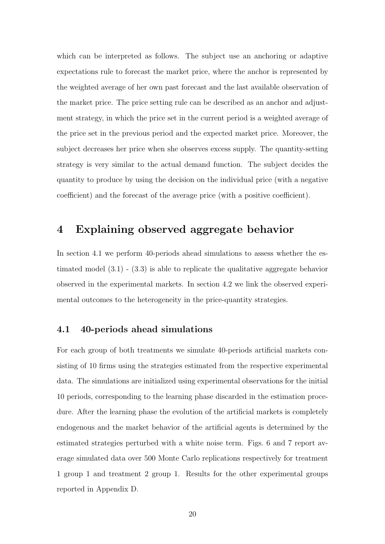which can be interpreted as follows. The subject use an anchoring or adaptive expectations rule to forecast the market price, where the anchor is represented by the weighted average of her own past forecast and the last available observation of the market price. The price setting rule can be described as an anchor and adjustment strategy, in which the price set in the current period is a weighted average of the price set in the previous period and the expected market price. Moreover, the subject decreases her price when she observes excess supply. The quantity-setting strategy is very similar to the actual demand function. The subject decides the quantity to produce by using the decision on the individual price (with a negative coefficient) and the forecast of the average price (with a positive coefficient).

## 4 Explaining observed aggregate behavior

In section 4.1 we perform 40-periods ahead simulations to assess whether the estimated model  $(3.1)$  -  $(3.3)$  is able to replicate the qualitative aggregate behavior observed in the experimental markets. In section 4.2 we link the observed experimental outcomes to the heterogeneity in the price-quantity strategies.

## 4.1 40-periods ahead simulations

For each group of both treatments we simulate 40-periods artificial markets consisting of 10 firms using the strategies estimated from the respective experimental data. The simulations are initialized using experimental observations for the initial 10 periods, corresponding to the learning phase discarded in the estimation procedure. After the learning phase the evolution of the artificial markets is completely endogenous and the market behavior of the artificial agents is determined by the estimated strategies perturbed with a white noise term. Figs. 6 and 7 report average simulated data over 500 Monte Carlo replications respectively for treatment 1 group 1 and treatment 2 group 1. Results for the other experimental groups reported in Appendix D.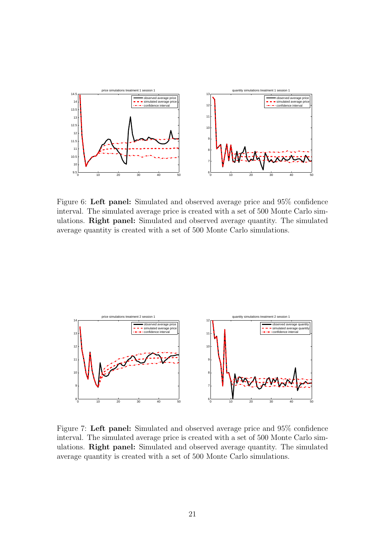

Figure 6: Left panel: Simulated and observed average price and 95% confidence interval. The simulated average price is created with a set of 500 Monte Carlo simulations. Right panel: Simulated and observed average quantity. The simulated average quantity is created with a set of 500 Monte Carlo simulations.



Figure 7: Left panel: Simulated and observed average price and 95% confidence interval. The simulated average price is created with a set of 500 Monte Carlo simulations. Right panel: Simulated and observed average quantity. The simulated average quantity is created with a set of 500 Monte Carlo simulations.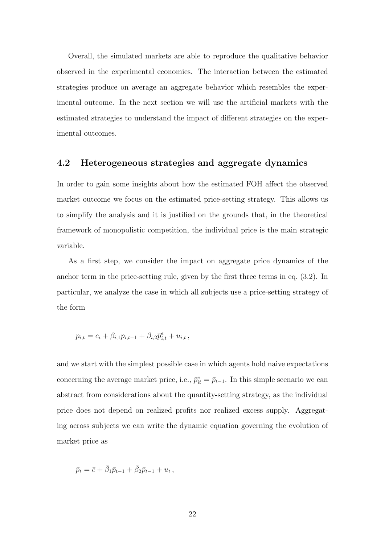Overall, the simulated markets are able to reproduce the qualitative behavior observed in the experimental economies. The interaction between the estimated strategies produce on average an aggregate behavior which resembles the experimental outcome. In the next section we will use the artificial markets with the estimated strategies to understand the impact of different strategies on the experimental outcomes.

## 4.2 Heterogeneous strategies and aggregate dynamics

In order to gain some insights about how the estimated FOH affect the observed market outcome we focus on the estimated price-setting strategy. This allows us to simplify the analysis and it is justified on the grounds that, in the theoretical framework of monopolistic competition, the individual price is the main strategic variable.

As a first step, we consider the impact on aggregate price dynamics of the anchor term in the price-setting rule, given by the first three terms in eq. (3.2). In particular, we analyze the case in which all subjects use a price-setting strategy of the form

$$
p_{i,t} = c_i + \beta_{i,1} p_{i,t-1} + \beta_{i,2} \overline{p}_{i,t}^e + u_{i,t},
$$

and we start with the simplest possible case in which agents hold naive expectations concerning the average market price, i.e.,  $\bar{p}_{it}^e = \bar{p}_{t-1}$ . In this simple scenario we can abstract from considerations about the quantity-setting strategy, as the individual price does not depend on realized profits nor realized excess supply. Aggregating across subjects we can write the dynamic equation governing the evolution of market price as

$$
\bar{p}_t = \bar{c} + \bar{\beta}_1 \bar{p}_{t-1} + \bar{\beta}_2 \bar{p}_{t-1} + u_t,
$$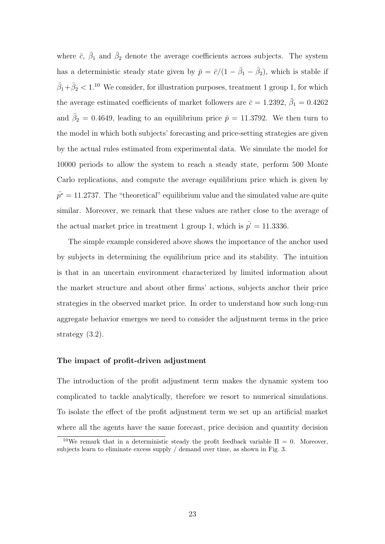where  $\bar{c}$ ,  $\bar{\beta}_1$  and  $\bar{\beta}_2$  denote the average coefficients across subjects. The system has a deterministic steady state given by  $\bar{p} = \bar{c}/(1 - \bar{\beta}_1 - \bar{\beta}_2)$ , which is stable if  $\bar{\beta}_1 + \bar{\beta}_2 < 1$ <sup>10</sup> We consider, for illustration purposes, treatment 1 group 1, for which the average estimated coefficients of market followers are  $\bar{c} = 1.2392, \ \bar{\beta}_1 = 0.4262$ and  $\bar{\beta}_2 = 0.4649$ , leading to an equilibrium price  $\bar{p} = 11.3792$ . We then turn to the model in which both subjects' forecasting and price-setting strategies are given by the actual rules estimated from experimental data. We simulate the model for 10000 periods to allow the system to reach a steady state, perform 500 Monte Carlo replications, and compute the average equilibrium price which is given by  $\bar{p}^* = 11.2737$ . The "theoretical" equilibrium value and the simulated value are quite similar. Moreover, we remark that these values are rather close to the average of the actual market price in treatment 1 group 1, which is  $p' = 11.3336$ .

The simple example considered above shows the importance of the anchor used by subjects in determining the equilibrium price and its stability. The intuition is that in an uncertain environment characterized by limited information about the market structure and about other firms' actions, subjects anchor their price strategies in the observed market price. In order to understand how such long-run aggregate behavior emerges we need to consider the adjustment terms in the price strategy (3.2).

#### The impact of profit-driven adjustment

The introduction of the profit adjustment term makes the dynamic system too complicated to tackle analytically, therefore we resort to numerical simulations. To isolate the effect of the profit adjustment term we set up an artificial market where all the agents have the same forecast, price decision and quantity decision

<sup>&</sup>lt;sup>10</sup>We remark that in a deterministic steady the profit feedback variable  $\Pi = 0$ . Moreover, subjects learn to eliminate excess supply / demand over time, as shown in Fig. 3.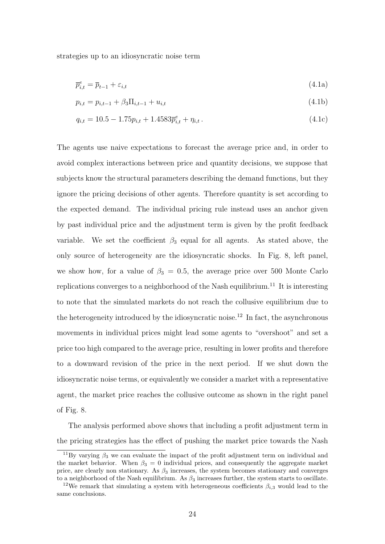strategies up to an idiosyncratic noise term

$$
\overline{p}_{i,t}^e = \overline{p}_{t-1} + \varepsilon_{i,t} \tag{4.1a}
$$

$$
p_{i,t} = p_{i,t-1} + \beta_3 \Pi_{i,t-1} + u_{i,t} \tag{4.1b}
$$

$$
q_{i,t} = 10.5 - 1.75p_{i,t} + 1.4583\overline{p}_{i,t}^e + \eta_{i,t}.
$$
\n(4.1c)

The agents use naive expectations to forecast the average price and, in order to avoid complex interactions between price and quantity decisions, we suppose that subjects know the structural parameters describing the demand functions, but they ignore the pricing decisions of other agents. Therefore quantity is set according to the expected demand. The individual pricing rule instead uses an anchor given by past individual price and the adjustment term is given by the profit feedback variable. We set the coefficient  $\beta_3$  equal for all agents. As stated above, the only source of heterogeneity are the idiosyncratic shocks. In Fig. 8, left panel, we show how, for a value of  $\beta_3 = 0.5$ , the average price over 500 Monte Carlo replications converges to a neighborhood of the Nash equilibrium.<sup>11</sup> It is interesting to note that the simulated markets do not reach the collusive equilibrium due to the heterogeneity introduced by the idiosyncratic noise.<sup>12</sup> In fact, the asynchronous movements in individual prices might lead some agents to "overshoot" and set a price too high compared to the average price, resulting in lower profits and therefore to a downward revision of the price in the next period. If we shut down the idiosyncratic noise terms, or equivalently we consider a market with a representative agent, the market price reaches the collusive outcome as shown in the right panel of Fig. 8.

The analysis performed above shows that including a profit adjustment term in the pricing strategies has the effect of pushing the market price towards the Nash

<sup>&</sup>lt;sup>11</sup>By varying  $\beta_3$  we can evaluate the impact of the profit adjustment term on individual and the market behavior. When  $\beta_3 = 0$  individual prices, and consequently the aggregate market price, are clearly non stationary. As  $\beta_3$  increases, the system becomes stationary and converges to a neighborhood of the Nash equilibrium. As  $\beta_3$  increases further, the system starts to oscillate.

<sup>&</sup>lt;sup>12</sup>We remark that simulating a system with heterogeneous coefficients  $\beta_{i,3}$  would lead to the same conclusions.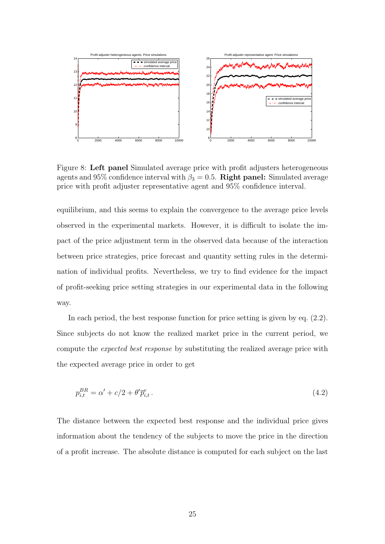

Figure 8: Left panel Simulated average price with profit adjusters heterogeneous agents and 95% confidence interval with  $\beta_3 = 0.5$ . Right panel: Simulated average price with profit adjuster representative agent and 95% confidence interval.

equilibrium, and this seems to explain the convergence to the average price levels observed in the experimental markets. However, it is difficult to isolate the impact of the price adjustment term in the observed data because of the interaction between price strategies, price forecast and quantity setting rules in the determination of individual profits. Nevertheless, we try to find evidence for the impact of profit-seeking price setting strategies in our experimental data in the following way.

In each period, the best response function for price setting is given by eq. (2.2). Since subjects do not know the realized market price in the current period, we compute the expected best response by substituting the realized average price with the expected average price in order to get

$$
p_{i,t}^{BR} = \alpha' + c/2 + \theta' \overline{p}_{i,t}^e. \tag{4.2}
$$

The distance between the expected best response and the individual price gives information about the tendency of the subjects to move the price in the direction of a profit increase. The absolute distance is computed for each subject on the last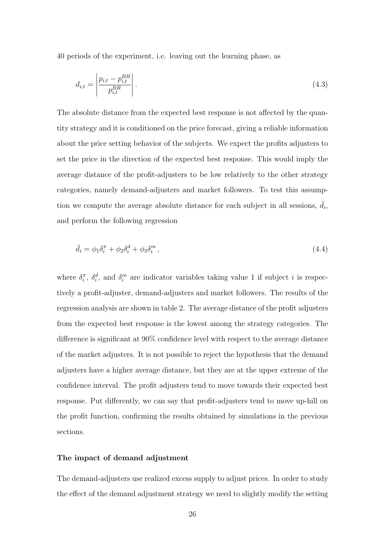40 periods of the experiment, i.e. leaving out the learning phase, as

$$
d_{i,t} = \left| \frac{p_{i,t} - p_{i,t}^{BR}}{p_{i,t}^{BR}} \right|.
$$
 (4.3)

The absolute distance from the expected best response is not affected by the quantity strategy and it is conditioned on the price forecast, giving a reliable information about the price setting behavior of the subjects. We expect the profits adjusters to set the price in the direction of the expected best response. This would imply the average distance of the profit-adjusters to be low relatively to the other strategy categories, namely demand-adjusters and market followers. To test this assumption we compute the average absolute distance for each subject in all sessions,  $\bar{d}_i$ , and perform the following regression

$$
\bar{d}_i = \phi_1 \delta_i^{\pi} + \phi_2 \delta_i^d + \phi_3 \delta_i^m , \qquad (4.4)
$$

where  $\delta_i^{\pi}$ ,  $\delta_i^d$ , and  $\delta_i^m$  are indicator variables taking value 1 if subject *i* is respectively a profit-adjuster, demand-adjusters and market followers. The results of the regression analysis are shown in table 2. The average distance of the profit adjusters from the expected best response is the lowest among the strategy categories. The difference is significant at 90% confidence level with respect to the average distance of the market adjusters. It is not possible to reject the hypothesis that the demand adjusters have a higher average distance, but they are at the upper extreme of the confidence interval. The profit adjusters tend to move towards their expected best response. Put differently, we can say that profit-adjusters tend to move up-hill on the profit function, confirming the results obtained by simulations in the previous sections.

#### The impact of demand adjustment

The demand-adjusters use realized excess supply to adjust prices. In order to study the effect of the demand adjustment strategy we need to slightly modify the setting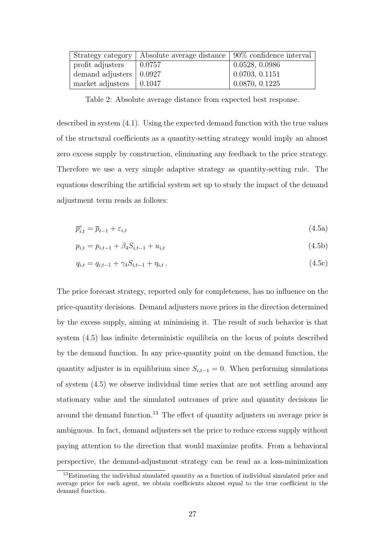| Strategy category                     | Absolute average distance $\vert 90\%$ confidence interval $\vert$ |                              |
|---------------------------------------|--------------------------------------------------------------------|------------------------------|
| profit adjusters                      | 0.0757                                                             | 0.0528, 0.0986               |
| demand adjusters $\vert 0.0927 \vert$ |                                                                    | $\vert 0.0703, 0.1151 \vert$ |
| market adjusters $\vert$ 0.1047       |                                                                    | 0.0870, 0.1225               |

Table 2: Absolute average distance from expected best response.

described in system (4.1). Using the expected demand function with the true values of the structural coefficients as a quantity-setting strategy would imply an almost zero excess supply by construction, eliminating any feedback to the price strategy. Therefore we use a very simple adaptive strategy as quantity-setting rule. The equations describing the artificial system set up to study the impact of the demand adjustment term reads as follows:

$$
\overline{p}_{i,t}^e = \overline{p}_{t-1} + \varepsilon_{i,t} \tag{4.5a}
$$

$$
p_{i,t} = p_{i,t-1} + \beta_4 S_{i,t-1} + u_{i,t} \tag{4.5b}
$$

$$
q_{i,t} = q_{i,t-1} + \gamma_4 S_{i,t-1} + \eta_{i,t} \tag{4.5c}
$$

The price forecast strategy, reported only for completeness, has no influence on the price-quantity decisions. Demand adjusters move prices in the direction determined by the excess supply, aiming at minimising it. The result of such behavior is that system (4.5) has infinite deterministic equilibria on the locus of points described by the demand function. In any price-quantity point on the demand function, the quantity adjuster is in equilibrium since  $S_{i,t-1} = 0$ . When performing simulations of system (4.5) we observe individual time series that are not settling around any stationary value and the simulated outcomes of price and quantity decisions lie around the demand function.<sup>13</sup> The effect of quantity adjusters on average price is ambiguous. In fact, demand adjusters set the price to reduce excess supply without paying attention to the direction that would maximize profits. From a behavioral perspective, the demand-adjustment strategy can be read as a loss-minimization

<sup>&</sup>lt;sup>13</sup>Estimating the individual simulated quantity as a function of individual simulated price and average price for each agent, we obtain coefficients almost equal to the true coefficient in the demand function.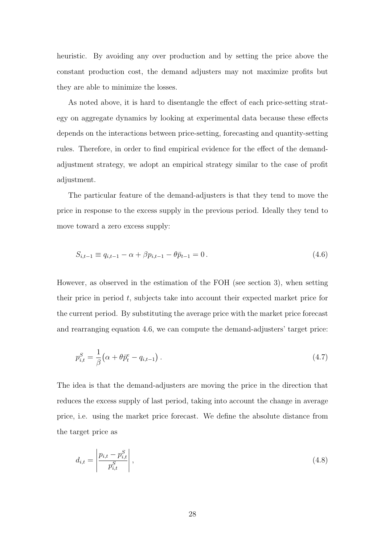heuristic. By avoiding any over production and by setting the price above the constant production cost, the demand adjusters may not maximize profits but they are able to minimize the losses.

As noted above, it is hard to disentangle the effect of each price-setting strategy on aggregate dynamics by looking at experimental data because these effects depends on the interactions between price-setting, forecasting and quantity-setting rules. Therefore, in order to find empirical evidence for the effect of the demandadjustment strategy, we adopt an empirical strategy similar to the case of profit adjustment.

The particular feature of the demand-adjusters is that they tend to move the price in response to the excess supply in the previous period. Ideally they tend to move toward a zero excess supply:

$$
S_{i,t-1} \equiv q_{i,t-1} - \alpha + \beta p_{i,t-1} - \theta \bar{p}_{t-1} = 0.
$$
\n(4.6)

However, as observed in the estimation of the FOH (see section 3), when setting their price in period t, subjects take into account their expected market price for the current period. By substituting the average price with the market price forecast and rearranging equation 4.6, we can compute the demand-adjusters' target price:

$$
p_{i,t}^S = \frac{1}{\beta} \left( \alpha + \theta \bar{p}_t^e - q_{i,t-1} \right).
$$
 (4.7)

The idea is that the demand-adjusters are moving the price in the direction that reduces the excess supply of last period, taking into account the change in average price, i.e. using the market price forecast. We define the absolute distance from the target price as

$$
d_{i,t} = \left| \frac{p_{i,t} - p_{i,t}^S}{p_{i,t}^S} \right|,\tag{4.8}
$$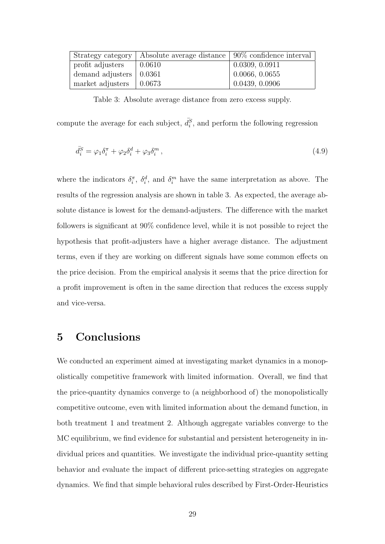| Strategy category                     | Absolute average distance   90% confidence interval |                              |
|---------------------------------------|-----------------------------------------------------|------------------------------|
| profit adjusters                      | 0.0610                                              | $\mid$ 0.0309, 0.0911        |
| demand adjusters $\vert 0.0361 \vert$ |                                                     | $\vert 0.0066, 0.0655 \vert$ |
| market adjusters $\vert$ 0.0673       |                                                     | 0.0439, 0.0906               |

Table 3: Absolute average distance from zero excess supply.

compute the average for each subject,  $\bar{d}_i^S$ , and perform the following regression

$$
\bar{d}_i^S = \varphi_1 \delta_i^{\pi} + \varphi_2 \delta_i^d + \varphi_3 \delta_i^m , \qquad (4.9)
$$

where the indicators  $\delta_i^{\pi}$ ,  $\delta_i^d$ , and  $\delta_i^m$  have the same interpretation as above. The results of the regression analysis are shown in table 3. As expected, the average absolute distance is lowest for the demand-adjusters. The difference with the market followers is significant at 90% confidence level, while it is not possible to reject the hypothesis that profit-adjusters have a higher average distance. The adjustment terms, even if they are working on different signals have some common effects on the price decision. From the empirical analysis it seems that the price direction for a profit improvement is often in the same direction that reduces the excess supply and vice-versa.

## 5 Conclusions

We conducted an experiment aimed at investigating market dynamics in a monopolistically competitive framework with limited information. Overall, we find that the price-quantity dynamics converge to (a neighborhood of) the monopolistically competitive outcome, even with limited information about the demand function, in both treatment 1 and treatment 2. Although aggregate variables converge to the MC equilibrium, we find evidence for substantial and persistent heterogeneity in individual prices and quantities. We investigate the individual price-quantity setting behavior and evaluate the impact of different price-setting strategies on aggregate dynamics. We find that simple behavioral rules described by First-Order-Heuristics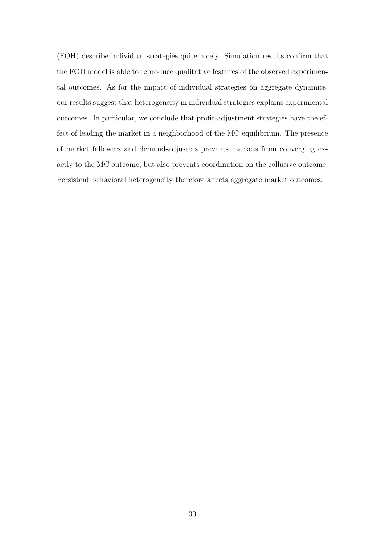(FOH) describe individual strategies quite nicely. Simulation results confirm that the FOH model is able to reproduce qualitative features of the observed experimental outcomes. As for the impact of individual strategies on aggregate dynamics, our results suggest that heterogeneity in individual strategies explains experimental outcomes. In particular, we conclude that profit-adjustment strategies have the effect of leading the market in a neighborhood of the MC equilibrium. The presence of market followers and demand-adjusters prevents markets from converging exactly to the MC outcome, but also prevents coordination on the collusive outcome. Persistent behavioral heterogeneity therefore affects aggregate market outcomes.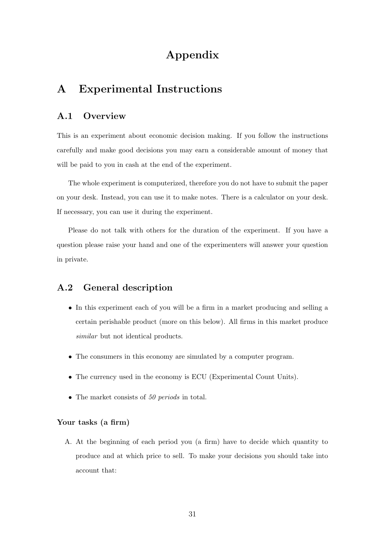# Appendix

## A Experimental Instructions

## A.1 Overview

This is an experiment about economic decision making. If you follow the instructions carefully and make good decisions you may earn a considerable amount of money that will be paid to you in cash at the end of the experiment.

The whole experiment is computerized, therefore you do not have to submit the paper on your desk. Instead, you can use it to make notes. There is a calculator on your desk. If necessary, you can use it during the experiment.

Please do not talk with others for the duration of the experiment. If you have a question please raise your hand and one of the experimenters will answer your question in private.

## A.2 General description

- In this experiment each of you will be a firm in a market producing and selling a certain perishable product (more on this below). All firms in this market produce similar but not identical products.
- The consumers in this economy are simulated by a computer program.
- The currency used in the economy is ECU (Experimental Count Units).
- The market consists of 50 periods in total.

### Your tasks (a firm)

A. At the beginning of each period you (a firm) have to decide which quantity to produce and at which price to sell. To make your decisions you should take into account that: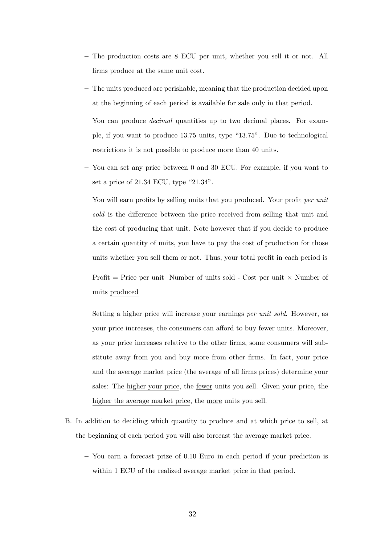- The production costs are 8 ECU per unit, whether you sell it or not. All firms produce at the same unit cost.
- The units produced are perishable, meaning that the production decided upon at the beginning of each period is available for sale only in that period.
- You can produce decimal quantities up to two decimal places. For example, if you want to produce 13.75 units, type "13.75". Due to technological restrictions it is not possible to produce more than 40 units.
- You can set any price between 0 and 30 ECU. For example, if you want to set a price of 21.34 ECU, type "21.34".
- $-$  You will earn profits by selling units that you produced. Your profit per unit sold is the difference between the price received from selling that unit and the cost of producing that unit. Note however that if you decide to produce a certain quantity of units, you have to pay the cost of production for those units whether you sell them or not. Thus, your total profit in each period is

Profit = Price per unit Number of units sold - Cost per unit  $\times$  Number of units produced

- Setting a higher price will increase your earnings per unit sold. However, as your price increases, the consumers can afford to buy fewer units. Moreover, as your price increases relative to the other firms, some consumers will substitute away from you and buy more from other firms. In fact, your price and the average market price (the average of all firms prices) determine your sales: The higher your price, the fewer units you sell. Given your price, the higher the average market price, the more units you sell.
- B. In addition to deciding which quantity to produce and at which price to sell, at the beginning of each period you will also forecast the average market price.
	- You earn a forecast prize of 0.10 Euro in each period if your prediction is within 1 ECU of the realized average market price in that period.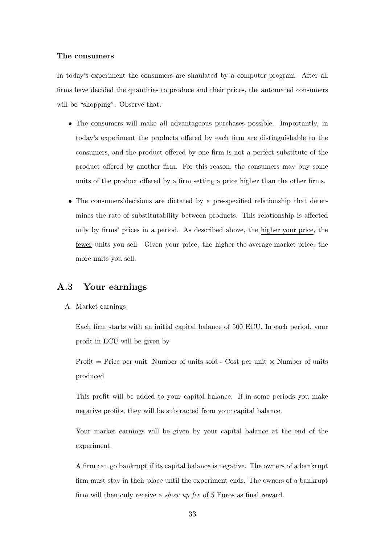#### The consumers

In today's experiment the consumers are simulated by a computer program. After all firms have decided the quantities to produce and their prices, the automated consumers will be "shopping". Observe that:

- The consumers will make all advantageous purchases possible. Importantly, in today's experiment the products offered by each firm are distinguishable to the consumers, and the product offered by one firm is not a perfect substitute of the product offered by another firm. For this reason, the consumers may buy some units of the product offered by a firm setting a price higher than the other firms.
- The consumers'decisions are dictated by a pre-specified relationship that determines the rate of substitutability between products. This relationship is affected only by firms' prices in a period. As described above, the higher your price, the fewer units you sell. Given your price, the higher the average market price, the more units you sell.

## A.3 Your earnings

A. Market earnings

Each firm starts with an initial capital balance of 500 ECU. In each period, your profit in ECU will be given by

Profit  $=$  Price per unit Number of units sold - Cost per unit  $\times$  Number of units produced

This profit will be added to your capital balance. If in some periods you make negative profits, they will be subtracted from your capital balance.

Your market earnings will be given by your capital balance at the end of the experiment.

A firm can go bankrupt if its capital balance is negative. The owners of a bankrupt firm must stay in their place until the experiment ends. The owners of a bankrupt firm will then only receive a *show up fee* of 5 Euros as final reward.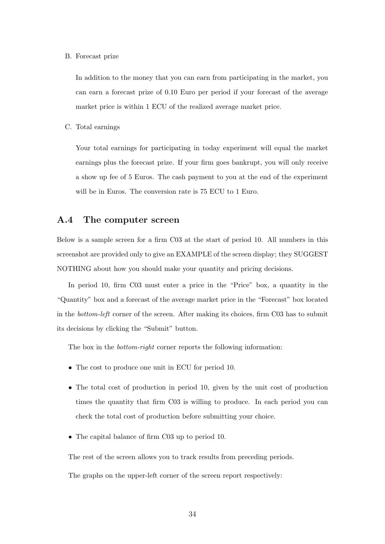#### B. Forecast prize

In addition to the money that you can earn from participating in the market, you can earn a forecast prize of 0.10 Euro per period if your forecast of the average market price is within 1 ECU of the realized average market price.

C. Total earnings

Your total earnings for participating in today experiment will equal the market earnings plus the forecast prize. If your firm goes bankrupt, you will only receive a show up fee of 5 Euros. The cash payment to you at the end of the experiment will be in Euros. The conversion rate is 75 ECU to 1 Euro.

### A.4 The computer screen

Below is a sample screen for a firm C03 at the start of period 10. All numbers in this screenshot are provided only to give an EXAMPLE of the screen display; they SUGGEST NOTHING about how you should make your quantity and pricing decisions.

In period 10, firm C03 must enter a price in the "Price" box, a quantity in the "Quantity" box and a forecast of the average market price in the "Forecast" box located in the bottom-left corner of the screen. After making its choices, firm C03 has to submit its decisions by clicking the "Submit" button.

The box in the *bottom-right* corner reports the following information:

- The cost to produce one unit in ECU for period 10.
- The total cost of production in period 10, given by the unit cost of production times the quantity that firm C03 is willing to produce. In each period you can check the total cost of production before submitting your choice.
- The capital balance of firm C03 up to period 10.

The rest of the screen allows you to track results from preceding periods.

The graphs on the upper-left corner of the screen report respectively: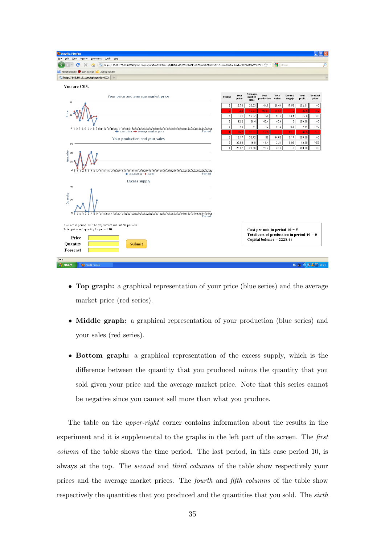| Mozilla Firefox                                                                                                                                                                                                                                                                                                                                                                                      |                  |               |                            |                                                                                                              |                                   |                         |                |                         | $\ \sigma\ $ X |
|------------------------------------------------------------------------------------------------------------------------------------------------------------------------------------------------------------------------------------------------------------------------------------------------------------------------------------------------------------------------------------------------------|------------------|---------------|----------------------------|--------------------------------------------------------------------------------------------------------------|-----------------------------------|-------------------------|----------------|-------------------------|----------------|
| File Edit View History<br>Bookmarks Tools Help                                                                                                                                                                                                                                                                                                                                                       |                  |               |                            |                                                                                                              |                                   |                         |                |                         |                |
| Fai http://145.18.177.130:8080/qame-engine/join/EcnVcaLJDYusqBqLD7oLsdCyZ0m41AGExsQ7Qsld39k3D/dom01v2-user.html?redirect=http%3A%2F%2F145 {2} +<br>c<br>m                                                                                                                                                                                                                                            |                  |               |                            |                                                                                                              | $\left \frac{3}{2}\right $ Google |                         |                |                         | ₽              |
| Meest bezocht An Aan de slag A Laatste nieuws                                                                                                                                                                                                                                                                                                                                                        |                  |               |                            |                                                                                                              |                                   |                         |                |                         |                |
| ", http://145.18.17you&playerId=C03<br>$\rightarrow$                                                                                                                                                                                                                                                                                                                                                 |                  |               |                            |                                                                                                              |                                   |                         |                |                         | $\overline{ }$ |
| You are C03.                                                                                                                                                                                                                                                                                                                                                                                         |                  |               |                            |                                                                                                              |                                   |                         |                |                         |                |
| Your price and average market price<br>50                                                                                                                                                                                                                                                                                                                                                            | Period           | Your<br>price | Average<br>market<br>price | Your<br>production                                                                                           | Your<br>sales                     | <b>Excess</b><br>supply | Your<br>profit | Forecast<br>prize       |                |
|                                                                                                                                                                                                                                                                                                                                                                                                      | 9                | 15.78         | 20.03                      | 44.5                                                                                                         | 26.94                             | 17.56                   | 202.61         | NO.                     |                |
| <sup>h</sup> rice                                                                                                                                                                                                                                                                                                                                                                                    | я                | 3.6           | 19.83                      | 15.67                                                                                                        | 15.67                             |                         | $-23.6$        | MC                      |                |
|                                                                                                                                                                                                                                                                                                                                                                                                      | $\boldsymbol{7}$ | 21            | 16.67                      | 50                                                                                                           | 15.6                              | 34.4                    | 77.6           | NO.                     |                |
|                                                                                                                                                                                                                                                                                                                                                                                                      | $_{\rm 6}$       | 12.2          | 35.4                       | 40.4                                                                                                         | 40.4                              | 0                       | 290.88         | NO.                     |                |
| $0\frac{1}{3}$<br>2 3 4 5 6 7 8 9 101 1121 3141 5161 71 81 9202 1222 3242 5262 7282 9303 1323 3343 5363 7383 9404 1424 3444 5464 7484 950                                                                                                                                                                                                                                                            | $\sqrt{5}$       | 45            | 41                         | 12                                                                                                           | 11.2                              | 0.8                     | 444            | N <sub>O</sub>          |                |
| Period<br>→ your price → average market price                                                                                                                                                                                                                                                                                                                                                        | $\boldsymbol{A}$ | 35.2          | 15.73                      | 12.5                                                                                                         | -f                                | 12.5                    | $-62.6$        | YES                     |                |
| Your production and your sales                                                                                                                                                                                                                                                                                                                                                                       | 3                | 12.17         | 30.72                      | 50                                                                                                           | 44.83                             | 5.17                    | 295.58         | N <sub>O</sub>          |                |
| 75                                                                                                                                                                                                                                                                                                                                                                                                   | $\overline{2}$   | 30.69         | 16.9                       | 11.4                                                                                                         | 2.31                              | 9.09                    | 13.89          | YES                     |                |
| 50                                                                                                                                                                                                                                                                                                                                                                                                   | $\overline{1}$   | 25.67         | 29.86                      | 23.7                                                                                                         | 23.7                              | $\mathbf{0}$            | 489.88         | NO.                     |                |
| Quantity<br>25<br>0<br>6 7 8 9 101 121 31 41 51 61 71 81 9202 1222 32 4252 6272 829303 1323 33 43 53 637 383 9404 1424 3444 5464 7484 950<br>23<br>45<br>production + sales<br>Period<br><b>Excess supply</b><br>40<br>Quantity<br>20<br>7 8 9 10 1 1 1 21 31 41 51 61 71 81 9202 12 22 32 42 52 62 72 82 9303 13 23 33 435 363 73 83 9404 14 24 3444 546474 84 950<br>$\overline{6}$<br>5<br>Period |                  |               |                            |                                                                                                              |                                   |                         |                |                         |                |
| You are in period 10. The experiment will last 50 periods.<br>Enter price and quantity for period 10.<br>Price<br>Quantity<br><b>Submit</b><br>Forecast                                                                                                                                                                                                                                              |                  |               |                            | Cost per unit in period $10 = 5$<br>Total cost of production in period $10 = 0$<br>Capital balance = 2228.44 |                                   |                         |                |                         |                |
| Done                                                                                                                                                                                                                                                                                                                                                                                                 |                  |               |                            |                                                                                                              |                                   |                         |                |                         |                |
| (2) Mozilla Firefox<br><b><i>H<sub>s</sub></i></b> start                                                                                                                                                                                                                                                                                                                                             |                  |               |                            |                                                                                                              |                                   |                         |                | <b>NL 画 ② 4 图 19:54</b> |                |

- Top graph: a graphical representation of your price (blue series) and the average market price (red series).
- Middle graph: a graphical representation of your production (blue series) and your sales (red series).
- Bottom graph: a graphical representation of the excess supply, which is the difference between the quantity that you produced minus the quantity that you sold given your price and the average market price. Note that this series cannot be negative since you cannot sell more than what you produce.

The table on the *upper-right* corner contains information about the results in the experiment and it is supplemental to the graphs in the left part of the screen. The first column of the table shows the time period. The last period, in this case period 10, is always at the top. The second and third columns of the table show respectively your prices and the average market prices. The fourth and fifth columns of the table show respectively the quantities that you produced and the quantities that you sold. The *sixth*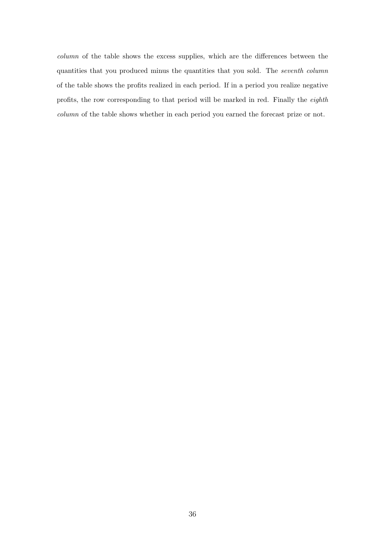column of the table shows the excess supplies, which are the differences between the quantities that you produced minus the quantities that you sold. The seventh column of the table shows the profits realized in each period. If in a period you realize negative profits, the row corresponding to that period will be marked in red. Finally the eighth column of the table shows whether in each period you earned the forecast prize or not.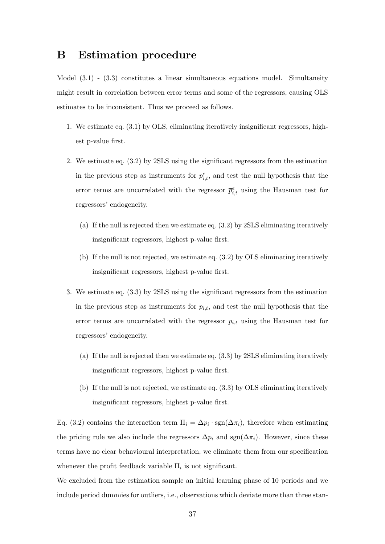## B Estimation procedure

Model (3.1) - (3.3) constitutes a linear simultaneous equations model. Simultaneity might result in correlation between error terms and some of the regressors, causing OLS estimates to be inconsistent. Thus we proceed as follows.

- 1. We estimate eq. (3.1) by OLS, eliminating iteratively insignificant regressors, highest p-value first.
- 2. We estimate eq. (3.2) by 2SLS using the significant regressors from the estimation in the previous step as instruments for  $\bar{p}^e_{i,t}$ , and test the null hypothesis that the error terms are uncorrelated with the regressor  $\bar{p}^e_{i,t}$  using the Hausman test for regressors' endogeneity.
	- (a) If the null is rejected then we estimate eq. (3.2) by 2SLS eliminating iteratively insignificant regressors, highest p-value first.
	- (b) If the null is not rejected, we estimate eq. (3.2) by OLS eliminating iteratively insignificant regressors, highest p-value first.
- 3. We estimate eq. (3.3) by 2SLS using the significant regressors from the estimation in the previous step as instruments for  $p_{i,t}$ , and test the null hypothesis that the error terms are uncorrelated with the regressor  $p_{i,t}$  using the Hausman test for regressors' endogeneity.
	- (a) If the null is rejected then we estimate eq. (3.3) by 2SLS eliminating iteratively insignificant regressors, highest p-value first.
	- (b) If the null is not rejected, we estimate eq. (3.3) by OLS eliminating iteratively insignificant regressors, highest p-value first.

Eq. (3.2) contains the interaction term  $\Pi_i = \Delta p_i \cdot \text{sgn}(\Delta \pi_i)$ , therefore when estimating the pricing rule we also include the regressors  $\Delta p_i$  and sgn( $\Delta \pi_i$ ). However, since these terms have no clear behavioural interpretation, we eliminate them from our specification whenever the profit feedback variable  $\Pi_i$  is not significant.

We excluded from the estimation sample an initial learning phase of 10 periods and we include period dummies for outliers, i.e., observations which deviate more than three stan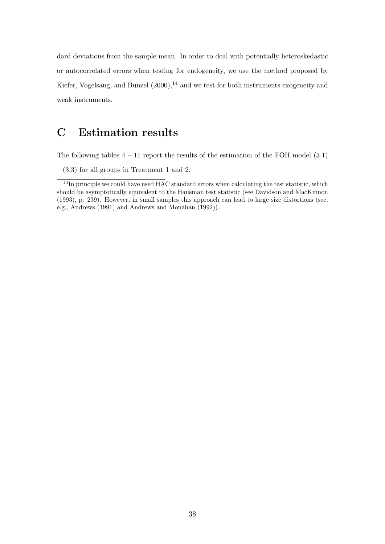dard deviations from the sample mean. In order to deal with potentially heteroskedastic or autocorrelated errors when testing for endogeneity, we use the method proposed by Kiefer, Vogelsang, and Bunzel  $(2000)$ ,<sup>14</sup> and we test for both instruments exogeneity and weak instruments.

## C Estimation results

The following tables  $4 - 11$  report the results of the estimation of the FOH model  $(3.1)$ 

 $-$  (3.3) for all groups in Treatment 1 and 2.

 $14$ In principle we could have used  $HAC$  standard errors when calculating the test statistic, which should be asymptotically equivalent to the Hausman test statistic (see Davidson and MacKinnon (1993), p. 239). However, in small samples this approach can lead to large size distortions (see, e.g., Andrews (1991) and Andrews and Monahan (1992)).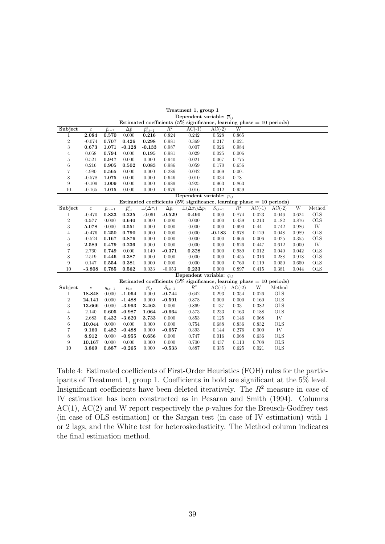|                |                  |                 |                   |                        |              | Dependent variable: $\bar{p}_{i,t}^e$                                    |                                    |          |          |                 |       |            |
|----------------|------------------|-----------------|-------------------|------------------------|--------------|--------------------------------------------------------------------------|------------------------------------|----------|----------|-----------------|-------|------------|
|                |                  |                 |                   |                        |              | Estimated coefficients $(5\%$ significance, learning phase = 10 periods) |                                    |          |          |                 |       |            |
| Subject        | $\boldsymbol{c}$ | $\bar{p}_{t-1}$ | $\Delta \bar{p}$  | $\bar{p}^e_{i,t-1}$    | $R^2$        | $AC(-1)$                                                                 | $AC(-2)$                           | W        |          |                 |       |            |
| 1              | 2.084            | 0.570           | 0.000             | 0.216                  | 0.824        | 0.242                                                                    | 0.528                              | 0.865    |          |                 |       |            |
| $\,2$          | $-0.074$         | 0.707           | 0.426             | 0.298                  | 0.981        | 0.369                                                                    | 0.217                              | 0.021    |          |                 |       |            |
| 3              | 0.673            | 1.071           | $-0.128$          | $-0.133$               | 0.987        | 0.007                                                                    | 0.026                              | 0.984    |          |                 |       |            |
| $\overline{4}$ | 0.058            | 0.794           | 0.000             | 0.195                  | 0.981        | 0.029                                                                    | 0.025                              | 0.006    |          |                 |       |            |
| $\rm 5$        | 0.521            | 0.947           | 0.000             | 0.000                  | 0.940        | 0.021                                                                    | 0.067                              | 0.775    |          |                 |       |            |
| $\,6$          | 0.216            | 0.905           | 0.502             | 0.083                  | 0.986        | 0.059                                                                    | 0.170                              | 0.656    |          |                 |       |            |
| $\overline{7}$ | 4.980            | 0.565           | 0.000             | 0.000                  | 0.286        | 0.042                                                                    | 0.069                              | 0.001    |          |                 |       |            |
| 8              | $-0.578$         | 1.075           | 0.000             | 0.000                  | 0.646        | 0.010                                                                    | 0.034                              | 0.781    |          |                 |       |            |
| 9              | $-0.109$         | 1.009           | 0.000             | 0.000                  | 0.989        | 0.925                                                                    | 0.963                              | 0.863    |          |                 |       |            |
| 10             | $-0.165$         | 1.015           | 0.000             | 0.000                  | 0.976        | 0.016                                                                    | 0.012                              | 0.959    |          |                 |       |            |
|                |                  |                 |                   |                        |              | Dependent variable: $p_{i,t}$                                            |                                    |          |          |                 |       |            |
|                |                  |                 |                   |                        |              | Estimated coefficients (5% significance, learning phase $= 10$ periods)  |                                    |          |          |                 |       |            |
| Subject        | $\mathbf c$      | $p_{i,t-1}$     | $\bar{p}_{i,t}^e$ | $\pm(\Delta \pi_i)$    | $\Delta p_i$ | $\pm(\Delta \pi_i)\Delta p_i$                                            | $\overline{S_{i,\underline{t-1}}}$ | $R^2$    | $AC(-1)$ | $AC(-2)$        | W     | Method     |
| $\mathbf{1}$   | $-0.470$         | 0.833           | 0.225             | $-0.061$               | $-0.529$     | 0.490                                                                    | 0.000                              | 0.874    | 0.023    | 0.046           | 0.624 | <b>OLS</b> |
| $\,2$          | 4.577            | 0.000           | 0.640             | 0.000                  | 0.000        | 0.000                                                                    | 0.000                              | 0.439    | 0.213    | 0.182           | 0.876 | <b>OLS</b> |
| 3              | 5.078            | 0.000           | 0.551             | 0.000                  | 0.000        | 0.000                                                                    | 0.000                              | 0.990    | 0.441    | 0.742           | 0.986 | IV         |
| $\overline{4}$ | $-0.476$         | 0.250           | 0.790             | 0.000                  | 0.000        | 0.000                                                                    | $-0.183$                           | 0.978    | 0.129    | 0.048           | 0.989 | <b>OLS</b> |
| $\overline{5}$ | $-0.524$         | 0.167           | 0.876             | 0.000                  | 0.000        | 0.000                                                                    | 0.000                              | 0.966    | 0.006    | 0.025           | 0.355 | <b>OLS</b> |
| $\,$ 6 $\,$    | 2.589            | 0.479           | 0.236             | 0.000                  | 0.000        | 0.000                                                                    | 0.000                              | 0.626    | 0.447    | 0.612           | 0.000 | IV         |
| $\overline{7}$ | 2.760            | 0.749           | 0.000             | 0.149                  | $-0.371$     | 0.328                                                                    | 0.000                              | 0.989    | 0.012    | 0.040           | 0.042 | <b>OLS</b> |
| 8              | 2.519            | 0.446           | 0.387             | 0.000                  | 0.000        | 0.000                                                                    | 0.000                              | 0.455    | 0.316    | 0.288           | 0.918 | <b>OLS</b> |
| 9              | 0.147            | 0.554           | 0.381             | 0.000                  | 0.000        | 0.000                                                                    | 0.000                              | 0.760    | 0.119    | 0.050           | 0.650 | <b>OLS</b> |
| 10             | $-3.808$         | 0.785           | 0.562             | 0.033                  | $-0.053$     | 0.233                                                                    | 0.000                              | 0.897    | 0.415    | 0.381           | 0.044 | <b>OLS</b> |
|                |                  |                 |                   |                        |              | Dependent variable: $q_{i,t}$                                            |                                    |          |          |                 |       |            |
|                |                  |                 |                   |                        |              | Estimated coefficients (5% significance, learning phase $= 10$ periods)  |                                    |          |          |                 |       |            |
| Subject        | $\boldsymbol{c}$ | $q_{i,t-1}$     | $p_{i,t}$         | $\overline{p}_{i,t}^e$ | $S_{i,t-1}$  | $R^2$                                                                    | $AC(-1)$                           | $AC(-2)$ | W        | Method          |       |            |
| 1              | 18.848           | 0.000           | $-1.064$          | 0.000                  | $-0.744$     | 0.642                                                                    | 0.293                              | 0.354    | 0.026    | $_{\text{OLS}}$ |       |            |
| $\,2$          | 24.141           | 0.000           | $-1.488$          | 0.000                  | $-0.591$     | 0.878                                                                    | 0.000                              | 0.000    | 0.160    | <b>OLS</b>      |       |            |
| 3              | 13.666           | 0.000           | $-3.993$          | 3.463                  | 0.000        | 0.869                                                                    | 0.137                              | 0.331    | 0.382    | <b>OLS</b>      |       |            |
| $\overline{4}$ | 2.140            | 0.605           | $-0.987$          | 1.064                  | $-0.664$     | 0.573                                                                    | 0.233                              | 0.163    | 0.188    | <b>OLS</b>      |       |            |
| $\rm 5$        | 2.683            | 0.432           | $-3.620$          | 3.733                  | 0.000        | 0.853                                                                    | 0.125                              | 0.146    | 0.068    | IV              |       |            |
| $\,6$          | 10.044           | 0.000           | 0.000             | 0.000                  | 0.000        | 0.754                                                                    | 0.688                              | 0.836    | 0.832    | <b>OLS</b>      |       |            |
| $\overline{7}$ | 9.160            | 0.482           | $-0.488$          | 0.000                  | $-0.657$     | 0.393                                                                    | 0.144                              | 0.276    | 0.000    | IV              |       |            |
| 8              | 8.912            | 0.000           | $-0.955$          | 0.656                  | 0.000        | 0.747                                                                    | 0.016                              | 0.068    | 0.636    | <b>OLS</b>      |       |            |
| 9              | 10.167           | 0.000           | 0.000             | 0.000                  | 0.000        | 0.700                                                                    | 0.437                              | 0.113    | 0.708    | <b>OLS</b>      |       |            |
| 10             | 3.869            | 0.887           | $-0.265$          | 0.000                  | $-0.533$     | 0.887                                                                    | 0.335                              | 0.625    | 0.021    | <b>OLS</b>      |       |            |

Table 4: Estimated coefficients of First-Order Heuristics (FOH) rules for the participants of Treatment 1, group 1. Coefficients in bold are significant at the 5% level. Insignificant coefficients have been deleted iteratively. The  $R^2$  measure in case of IV estimation has been constructed as in Pesaran and Smith (1994). Columns  $AC(1)$ ,  $AC(2)$  and W report respectively the *p*-values for the Breusch-Godfrey test (in case of OLS estimation) or the Sargan test (in case of IV estimation) with 1 or 2 lags, and the White test for heteroskedasticity. The Method column indicates the final estimation method.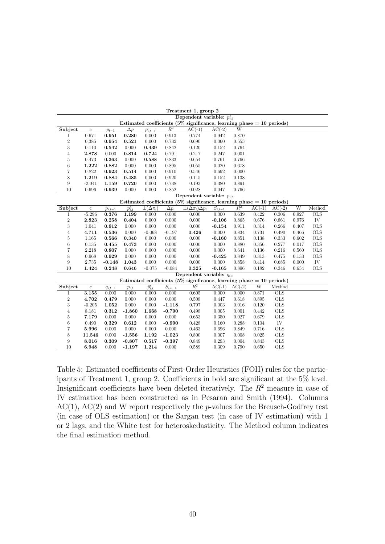|                |                  |                 |                        |                                |                        | Dependent variable: $\overline{p}_{i,t}^e$                              |                        |           |                       |                 |       |            |
|----------------|------------------|-----------------|------------------------|--------------------------------|------------------------|-------------------------------------------------------------------------|------------------------|-----------|-----------------------|-----------------|-------|------------|
|                |                  |                 |                        |                                |                        | Estimated coefficients (5% significance, learning phase $= 10$ periods) |                        |           |                       |                 |       |            |
| Subject        | $\boldsymbol{c}$ | $\bar{p}_{t-1}$ | $\Delta \bar{p}$       | $\overline{\bar{p}_{i,t-1}^e}$ | $\overline{R^2}$       | $AC(-1)$                                                                | $AC(-2)$               | W         |                       |                 |       |            |
| 1              | 0.671            | 0.951           | 0.280                  | 0.000                          | 0.913                  | 0.774                                                                   | 0.942                  | 0.870     |                       |                 |       |            |
| $\sqrt{2}$     | 0.385            | 0.954           | 0.521                  | 0.000                          | 0.732                  | 0.690                                                                   | 0.060                  | $0.555\,$ |                       |                 |       |            |
| 3              | 0.110            | 0.542           | 0.000                  | 0.439                          | 0.842                  | 0.120                                                                   | 0.152                  | 0.764     |                       |                 |       |            |
| $\overline{4}$ | 2.878            | 0.000           | 0.814                  | 0.724                          | 0.791                  | 0.217                                                                   | 0.247                  | 0.001     |                       |                 |       |            |
| $\rm 5$        | 0.473            | 0.363           | 0.000                  | 0.588                          | 0.833                  | 0.654                                                                   | 0.761                  | 0.766     |                       |                 |       |            |
| $\;6\;$        | 1.222            | 0.882           | 0.000                  | 0.000                          | 0.895                  | 0.055                                                                   | 0.020                  | 0.678     |                       |                 |       |            |
| $\overline{7}$ | 0.822            | 0.923           | 0.514                  | 0.000                          | 0.910                  | 0.546                                                                   | 0.692                  | 0.000     |                       |                 |       |            |
| 8              | 1.219            | 0.884           | 0.485                  | 0.000                          | 0.920                  | 0.115                                                                   | 0.152                  | 0.138     |                       |                 |       |            |
| 9              | $-2.041$         | 1.159           | 0.720                  | 0.000                          | 0.738                  | 0.193                                                                   | 0.380                  | 0.891     |                       |                 |       |            |
| 10             | 0.696            | 0.939           | 0.000                  | 0.000                          | 0.852                  | 0.028                                                                   | 0.047                  | 0.766     |                       |                 |       |            |
|                |                  |                 |                        |                                |                        | Dependent variable: $p_{i,t}$                                           |                        |           |                       |                 |       |            |
|                |                  |                 |                        |                                |                        | Estimated coefficients (5% significance, learning phase $= 10$ periods) |                        |           |                       |                 |       |            |
| Subject        | $\rm c$          | $p_{i,t-1}$     | $\overline{p}_{i,t}^e$ | $\pm(\Delta \pi_i)$            | $\Delta p_i$           | $\pm(\Delta \pi_i) \Delta p_i$                                          | $\overline{S_{i,t-1}}$ | $R^2$     | $AC(-1)$              | $AC(-2)$        | W     | Method     |
| 1              | $-5.296$         | 0.376           | 1.199                  | 0.000                          | 0.000                  | 0.000                                                                   | 0.000                  | 0.639     | 0.422                 | 0.306           | 0.927 | OLS        |
| $\,2$          | 2.823            | 0.258           | 0.404                  | 0.000                          | 0.000                  | 0.000                                                                   | $-0.106$               | 0.865     | 0.676                 | 0.861           | 0.976 | IV         |
| 3              | 1.041            | 0.912           | 0.000                  | 0.000                          | 0.000                  | 0.000                                                                   | $-0.154$               | 0.911     | 0.314                 | 0.266           | 0.407 | <b>OLS</b> |
| $\overline{4}$ | 4.711            | 0.536           | 0.000                  | $-0.068$                       | $-0.197$               | 0.426                                                                   | 0.000                  | 0.834     | 0.731                 | 0.490           | 0.466 | <b>OLS</b> |
| 5              | 1.165            | 0.566           | 0.340                  | 0.000                          | 0.000                  | 0.000                                                                   | $-0.160$               | 0.851     | 0.138                 | 0.333           | 0.602 | <b>OLS</b> |
| $\;6\;$        | 0.135            | 0.455           | 0.473                  | 0.000                          | 0.000                  | 0.000                                                                   | 0.000                  | 0.880     | 0.356                 | 0.277           | 0.017 | <b>OLS</b> |
| $\overline{7}$ | 2.218            | 0.807           | 0.000                  | 0.000                          | 0.000                  | 0.000                                                                   | 0.000                  | 0.641     | 0.136                 | 0.216           | 0.560 | <b>OLS</b> |
| 8              | 0.968            | 0.929           | 0.000                  | 0.000                          | 0.000                  | 0.000                                                                   | $-0.425$               | 0.849     | 0.313                 | 0.475           | 0.133 | <b>OLS</b> |
| 9              | 2.735            | $-0.148$        | 1.043                  | 0.000                          | 0.000                  | 0.000                                                                   | 0.000                  | 0.858     | 0.414                 | 0.685           | 0.000 | IV         |
| 10             | 1.424            | 0.248           | 0.646                  | $-0.075$                       | $-0.084$               | 0.325                                                                   | $-0.165$               | 0.896     | 0.182                 | 0.346           | 0.654 | <b>OLS</b> |
|                |                  |                 |                        |                                |                        | Dependent variable: $q_{it}$                                            |                        |           |                       |                 |       |            |
|                |                  |                 |                        |                                |                        | Estimated coefficients (5% significance, learning phase $= 10$ periods) |                        |           |                       |                 |       |            |
| Subject        | $\boldsymbol{c}$ | $q_{i,t-1}$     | $p_{i,t}$              | $\overline{p}_{i,t}^e$         | $\overline{S}_{i,t-1}$ | $R^2$                                                                   | $AC(-1)$               | $AC(-2)$  | $\overline{\text{W}}$ | Method          |       |            |
| $\mathbf{1}$   | 3.155            | 0.000           | 0.000                  | 0.000                          | 0.000                  | 0.605                                                                   | 0.000                  | 0.000     | 0.871                 | $_{\text{OLS}}$ |       |            |
| $\,2$          | 4.702            | 0.479           | 0.000                  | 0.000                          | 0.000                  | 0.508                                                                   | 0.447                  | 0.618     | 0.895                 | <b>OLS</b>      |       |            |
| 3              | $-0.205$         | 1.052           | 0.000                  | 0.000                          | $-1.118$               | 0.797                                                                   | 0.003                  | 0.016     | 0.120                 | <b>OLS</b>      |       |            |
| $\overline{4}$ | 8.181            | 0.312           | $-1.860$               | 1.668                          | $-0.790$               | 0.498                                                                   | 0.005                  | 0.001     | 0.442                 | <b>OLS</b>      |       |            |
| $\overline{5}$ | 7.179            | 0.000           | 0.000                  | 0.000                          | 0.000                  | 0.653                                                                   | 0.350                  | 0.027     | 0.679                 | <b>OLS</b>      |       |            |
| $\;6\;$        | 0.490            | 0.329           | 0.612                  | 0.000                          | $-0.990$               | 0.428                                                                   | 0.160                  | 0.288     | 0.104                 | IV              |       |            |
| $\overline{7}$ | 5.996            | 0.000           | 0.000                  | 0.000                          | 0.000                  | 0.463                                                                   | 0.696                  | 0.849     | 0.716                 | <b>OLS</b>      |       |            |
| 8              | 11.546           | 0.000           | $-1.556$               | 1.192                          | $-1.023$               | 0.800                                                                   | 0.007                  | 0.008     | 0.025                 | <b>OLS</b>      |       |            |
| 9              | 8.016            | 0.309           | $-0.807$               | 0.517                          | $-0.397$               | 0.849                                                                   | 0.293                  | 0.004     | 0.843                 | <b>OLS</b>      |       |            |
| 10             | 6.948            | 0.000           | $-1.197$               | 1.214                          | 0.000                  | 0.589                                                                   | 0.309                  | 0.790     | 0.650                 | <b>OLS</b>      |       |            |

Table 5: Estimated coefficients of First-Order Heuristics (FOH) rules for the participants of Treatment 1, group 2. Coefficients in bold are significant at the 5% level. Insignificant coefficients have been deleted iteratively. The  $R<sup>2</sup>$  measure in case of IV estimation has been constructed as in Pesaran and Smith (1994). Columns  $AC(1)$ ,  $AC(2)$  and W report respectively the p-values for the Breusch-Godfrey test (in case of OLS estimation) or the Sargan test (in case of IV estimation) with 1 or 2 lags, and the White test for heteroskedasticity. The Method column indicates the final estimation method.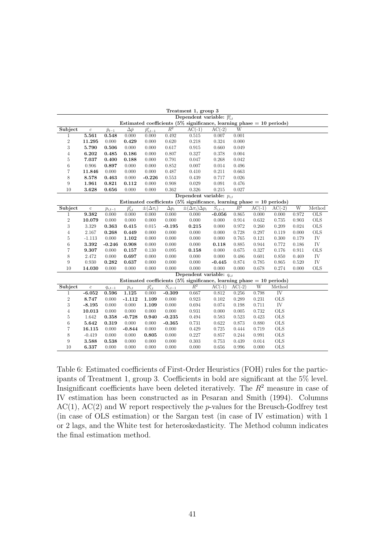|                  |                  |                 |                   |                     |                         | Treatment 1, group 3                                                      |                        |                |          |                        |       |                 |
|------------------|------------------|-----------------|-------------------|---------------------|-------------------------|---------------------------------------------------------------------------|------------------------|----------------|----------|------------------------|-------|-----------------|
|                  |                  |                 |                   |                     |                         | Dependent variable: $\bar{p}_{i,t}^e$                                     |                        |                |          |                        |       |                 |
|                  |                  |                 |                   |                     |                         | Estimated coefficients (5% significance, learning phase $= 10$ periods)   |                        |                |          |                        |       |                 |
| Subject          | $\boldsymbol{c}$ | $\bar{p}_{t-1}$ | $\Delta \bar p$   | $\bar{p}^e_{i,t-1}$ | $\overline{R^2}$        | $AC(-1)$                                                                  | $AC(-2)$               | $\overline{W}$ |          |                        |       |                 |
| 1                | 5.561            | 0.548           | 0.000             | 0.000               | 0.492                   | 0.515                                                                     | 0.007                  | 0.001          |          |                        |       |                 |
| $\,2$            | 11.295           | 0.000           | 0.429             | 0.000               | 0.620                   | 0.218                                                                     | 0.324                  | 0.000          |          |                        |       |                 |
| 3                | 5.790            | 0.506           | 0.000             | 0.000               | 0.617                   | 0.915                                                                     | 0.660                  | 0.049          |          |                        |       |                 |
| $\overline{4}$   | 6.202            | 0.485           | 0.186             | 0.000               | 0.807                   | 0.327                                                                     | 0.378                  | 0.004          |          |                        |       |                 |
| $\rm 5$          | 7.037            | 0.400           | 0.188             | 0.000               | 0.791                   | 0.047                                                                     | 0.268                  | 0.042          |          |                        |       |                 |
| $\;6\;$          | 0.906            | 0.897           | 0.000             | 0.000               | 0.852                   | 0.007                                                                     | 0.014                  | 0.496          |          |                        |       |                 |
| $\overline{7}$   | 11.846           | 0.000           | 0.000             | 0.000               | 0.487                   | 0.410                                                                     | 0.211                  | 0.663          |          |                        |       |                 |
| 8                | 8.578            | 0.463           | 0.000             | $-0.226$            | 0.553                   | 0.439                                                                     | 0.717                  | 0.026          |          |                        |       |                 |
| 9                | 1.961            | 0.821           | 0.112             | 0.000               | 0.908                   | 0.029                                                                     | 0.091                  | 0.476          |          |                        |       |                 |
| 10               | 3.628            | 0.656           | 0.000             | 0.000               | 0.362                   | 0.326                                                                     | 0.215                  | 0.027          |          |                        |       |                 |
|                  |                  |                 |                   |                     |                         | Dependent variable: $p_{i,t}$                                             |                        |                |          |                        |       |                 |
|                  |                  |                 |                   |                     |                         | Estimated coefficients ( $5\%$ significance, learning phase = 10 periods) |                        |                |          |                        |       |                 |
| Subject          | $\rm c$          | $p_{i,t-1}$     | $\bar{p}_{i,t}^e$ | $\pm(\Delta \pi_i)$ | $\overline{\Delta p_i}$ | $\pm(\Delta \pi_i) \Delta p_i$                                            | $\overline{S_{i,t-1}}$ | $R^2$          | $AC(-1)$ | $AC(-2)$               | W     | Method          |
| 1                | 9.382            | 0.000           | 0.000             | 0.000               | 0.000                   | 0.000                                                                     | $-0.056$               | 0.865          | 0.000    | 0.000                  | 0.972 | $_{\text{OLS}}$ |
| $\boldsymbol{2}$ | 10.079           | 0.000           | 0.000             | 0.000               | 0.000                   | 0.000                                                                     | 0.000                  | 0.914          | 0.632    | 0.735                  | 0.903 | <b>OLS</b>      |
| 3                | 3.329            | 0.363           | 0.415             | 0.015               | $-0.195$                | 0.215                                                                     | 0.000                  | 0.972          | 0.260    | 0.209                  | 0.024 | <b>OLS</b>      |
| $\overline{4}$   | 2.167            | 0.268           | 0.449             | 0.000               | 0.000                   | 0.000                                                                     | 0.000                  | 0.728          | 0.297    | 0.119                  | 0.000 | <b>OLS</b>      |
| 5                | $-1.113$         | 0.000           | $1.102\,$         | 0.000               | 0.000                   | 0.000                                                                     | 0.000                  | 0.765          | 0.121    | 0.300                  | 0.179 | IV              |
| $\;6\;$          | 3.392            | $-0.246$        | 0.908             | 0.000               | 0.000                   | 0.000                                                                     | 0.118                  | 0.885          | 0.944    | 0.772                  | 0.186 | IV              |
| $\overline{7}$   | 9.307            | 0.000           | 0.157             | 0.130               | 0.095                   | 0.158                                                                     | 0.000                  | 0.675          | 0.327    | 0.176                  | 0.911 | <b>OLS</b>      |
| 8                | 2.472            | 0.000           | 0.697             | 0.000               | 0.000                   | 0.000                                                                     | 0.000                  | 0.486          | 0.601    | 0.850                  | 0.469 | IV              |
| 9                | 0.930            | 0.282           | 0.637             | 0.000               | 0.000                   | 0.000                                                                     | $-0.445$               | 0.874          | 0.785    | 0.865                  | 0.520 | IV              |
| 10               | 14.030           | 0.000           | 0.000             | 0.000               | 0.000                   | 0.000                                                                     | 0.000                  | 0.000          | 0.678    | 0.274                  | 0.000 | <b>OLS</b>      |
|                  |                  |                 |                   |                     |                         | Dependent variable: $q_{i,t}$                                             |                        |                |          |                        |       |                 |
|                  |                  |                 |                   |                     |                         | Estimated coefficients (5% significance, learning phase $= 10$ periods)   |                        |                |          |                        |       |                 |
| Subject          | $\boldsymbol{c}$ | $q_{i,t-1}$     | $p_{i,t}$         | $\bar{p}_{i,t}^e$   | $\overline{S_{i,t-1}}$  | $\overline{R^2}$                                                          | $AC(-1)$               | $AC(-2)$       | W        | Method                 |       |                 |
| $\mathbf{1}$     | $-6.052$         | 0.596           | 1.125             | 0.000               | $-0.309$                | 0.667                                                                     | 0.812                  | 0.256          | 0.798    | $\overline{\text{IV}}$ |       |                 |
| $\boldsymbol{2}$ | 8.747            | 0.000           | $-1.112$          | 1.109               | 0.000                   | 0.923                                                                     | 0.102                  | 0.289          | 0.231    | <b>OLS</b>             |       |                 |
| 3                | $-8.195$         | 0.000           | 0.000             | 1.109               | 0.000                   | 0.694                                                                     | 0.074                  | 0.198          | 0.711    | IV                     |       |                 |
| $\overline{4}$   | 10.013           | 0.000           | 0.000             | 0.000               | 0.000                   | 0.931                                                                     | 0.000                  | 0.005          | 0.732    | <b>OLS</b>             |       |                 |
| $\rm 5$          | 1.642            | 0.358           | $-0.728$          | 0.940               | $-0.235$                | 0.494                                                                     | 0.583                  | 0.523          | 0.423    | <b>OLS</b>             |       |                 |
| 6                | 5.642            | 0.319           | 0.000             | 0.000               | $-0.365$                | 0.731                                                                     | 0.622                  | 0.873          | 0.880    | <b>OLS</b>             |       |                 |
| $\overline{7}$   | 16.115           | 0.000           | $-0.844$          | 0.000               | 0.000                   | 0.429                                                                     | 0.725                  | 0.444          | 0.719    | <b>OLS</b>             |       |                 |
| 8                | $-0.419$         | 0.000           | 0.000             | 0.805               | 0.000                   | 0.227                                                                     | 0.857                  | 0.244          | 0.991    | <b>OLS</b>             |       |                 |
| 9                | 3.588            | 0.538           | 0.000             | 0.000               | 0.000                   | 0.303                                                                     | 0.753                  | 0.439          | 0.014    | <b>OLS</b>             |       |                 |
| 10               | 6.337            | 0.000           | 0.000             | 0.000               | 0.000                   | 0.000                                                                     | 0.656                  | 0.996          | 0.000    | <b>OLS</b>             |       |                 |

Table 6: Estimated coefficients of First-Order Heuristics (FOH) rules for the participants of Treatment 1, group 3. Coefficients in bold are significant at the 5% level. Insignificant coefficients have been deleted iteratively. The  $R<sup>2</sup>$  measure in case of IV estimation has been constructed as in Pesaran and Smith (1994). Columns  $AC(1)$ ,  $AC(2)$  and W report respectively the p-values for the Breusch-Godfrey test (in case of OLS estimation) or the Sargan test (in case of IV estimation) with 1 or 2 lags, and the White test for heteroskedasticity. The Method column indicates the final estimation method.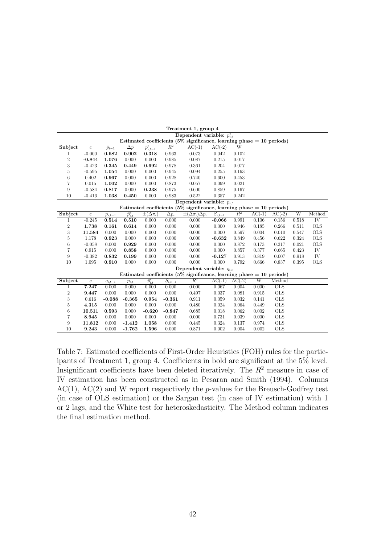|                  |                  |                 |                    |                        |              | Treatment 1, group 4                                                    |                        |          |          |            |                |            |
|------------------|------------------|-----------------|--------------------|------------------------|--------------|-------------------------------------------------------------------------|------------------------|----------|----------|------------|----------------|------------|
|                  |                  |                 |                    |                        |              | Dependent variable: $\bar{p}_{i}^e$                                     |                        |          |          |            |                |            |
|                  |                  |                 |                    |                        |              | Estimated coefficients (5% significance, learning phase $= 10$ periods) |                        |          |          |            |                |            |
| Subject          | $\boldsymbol{c}$ | $\bar{p}_{t-1}$ | $\Delta \bar{p}$   | $\bar{p}^e_{i,t-1}$    | $R^2$        | $AC(-1)$                                                                | $AC(-2)$               | W        |          |            |                |            |
| 1                | $-0.000$         | 0.682           | 0.902              | 0.318                  | 0.963        | 0.073                                                                   | 0.042                  | 0.102    |          |            |                |            |
| $\overline{2}$   | $-0.844$         | 1.076           | 0.000              | 0.000                  | 0.985        | 0.087                                                                   | 0.215                  | 0.017    |          |            |                |            |
| 3                | $-0.423$         | 0.345           | 0.449              | 0.692                  | 0.978        | 0.361                                                                   | 0.204                  | 0.077    |          |            |                |            |
| 5                | $-0.595$         | 1.054           | 0.000              | 0.000                  | 0.945        | 0.094                                                                   | 0.255                  | 0.163    |          |            |                |            |
| 6                | 0.402            | 0.967           | 0.000              | 0.000                  | 0.928        | 0.740                                                                   | 0.600                  | 0.453    |          |            |                |            |
| 7                | 0.015            | 1.002           | 0.000              | 0.000                  | 0.873        | 0.057                                                                   | 0.099                  | 0.021    |          |            |                |            |
| 9                | $-0.584$         | 0.817           | 0.000              | 0.238                  | 0.975        | 0.600                                                                   | 0.859                  | 0.167    |          |            |                |            |
| 10               | $-0.416$         | 1.038           | 0.450              | 0.000                  | 0.983        | 0.522                                                                   | 0.357                  | 0.242    |          |            |                |            |
|                  |                  |                 |                    |                        |              | Dependent variable: $p_{i,t}$                                           |                        |          |          |            |                |            |
|                  |                  |                 |                    |                        |              | Estimated coefficients (5% significance, learning phase $= 10$ periods) |                        |          |          |            |                |            |
| Subject          | $\rm c$          | $p_{i,t-1}$     | $\bar{p}_{i.t.}^e$ | $\pm(\Delta \pi_i)$    | $\Delta p_i$ | $\pm(\Delta \pi_i) \Delta p_i$                                          | $\overline{S_{i,t-1}}$ | $R^2$    | $AC(-1)$ | $AC(-2)$   | $\overline{W}$ | Method     |
| $\mathbf{1}$     | $-0.245$         | 0.514           | 0.510              | 0.000                  | 0.000        | 0.000                                                                   | $-0.066$               | 0.991    | 0.106    | 0.156      | 0.518          | IV         |
| $\overline{2}$   | 1.738            | 0.161           | 0.614              | 0.000                  | 0.000        | 0.000                                                                   | 0.000                  | 0.946    | 0.185    | 0.266      | 0.511          | <b>OLS</b> |
| 3                | 11.584           | 0.000           | 0.000              | 0.000                  | 0.000        | 0.000                                                                   | 0.000                  | 0.597    | 0.004    | 0.010      | 0.547          | <b>OLS</b> |
| 5                | 1.178            | 0.923           | 0.000              | 0.000                  | 0.000        | 0.000                                                                   | $-0.632$               | 0.849    | 0.456    | 0.622      | 0.324          | <b>OLS</b> |
| $\,$ 6 $\,$      | $-0.058$         | 0.000           | 0.929              | 0.000                  | 0.000        | 0.000                                                                   | 0.000                  | 0.872    | 0.173    | 0.317      | 0.021          | <b>OLS</b> |
| 7                | 0.915            | 0.000           | 0.858              | 0.000                  | 0.000        | 0.000                                                                   | 0.000                  | 0.857    | 0.377    | 0.665      | 0.423          | IV         |
| 9                | $-0.382$         | 0.832           | 0.199              | 0.000                  | 0.000        | 0.000                                                                   | $-0.127$               | 0.913    | 0.819    | 0.007      | 0.918          | IV         |
| 10               | 1.095            | 0.910           | 0.000              | 0.000                  | 0.000        | 0.000                                                                   | 0.000                  | 0.792    | 0.666    | 0.837      | 0.395          | <b>OLS</b> |
|                  |                  |                 |                    |                        |              | Dependent variable: $q_{i,t}$                                           |                        |          |          |            |                |            |
|                  |                  |                 |                    |                        |              | Estimated coefficients (5% significance, learning phase $=$ 10 periods) |                        |          |          |            |                |            |
| Subject          | $\boldsymbol{c}$ | $q_{i,t-1}$     | $p_{i,t}$          | $\overline{p}_{i,t}^e$ | $S_{i,t-1}$  | $\overline{R^2}$                                                        | $AC(-1)$               | $AC(-2)$ | W        | Method     |                |            |
| 1                | 7.247            | 0.000           | 0.000              | 0.000                  | 0.000        | 0.000                                                                   | 0.067                  | 0.004    | 0.000    | <b>OLS</b> |                |            |
| $\boldsymbol{2}$ | 9.447            | 0.000           | 0.000              | 0.000                  | 0.000        | 0.497                                                                   | 0.037                  | 0.081    | 0.915    | <b>OLS</b> |                |            |
| 3                | 0.616            | $-0.088$        | $-0.365$           | 0.954                  | $-0.361$     | 0.911                                                                   | 0.059                  | 0.032    | 0.141    | <b>OLS</b> |                |            |
| 5                | 4.315            | 0.000           | 0.000              | 0.000                  | 0.000        | 0.480                                                                   | 0.024                  | 0.064    | 0.449    | <b>OLS</b> |                |            |
| 6                | 10.511           | 0.593           | 0.000              | $-0.620$               | $-0.847$     | 0.685                                                                   | 0.018                  | 0.062    | 0.002    | <b>OLS</b> |                |            |
| 7                | 8.945            | 0.000           | 0.000              | 0.000                  | 0.000        | 0.000                                                                   | 0.731                  | 0.039    | 0.000    | <b>OLS</b> |                |            |
| 9                | 11.812           | 0.000           | $-1.412$           | 1.058                  | 0.000        | 0.445                                                                   | 0.324                  | 0.137    | 0.974    | <b>OLS</b> |                |            |
| 10               | 9.243            | 0.000           | $-1.762$           | 1.596                  | 0.000        | 0.871                                                                   | 0.002                  | 0.004    | 0.002    | <b>OLS</b> |                |            |

Table 7: Estimated coefficients of First-Order Heuristics (FOH) rules for the participants of Treatment 1, group 4. Coefficients in bold are significant at the 5% level. Insignificant coefficients have been deleted iteratively. The  $R<sup>2</sup>$  measure in case of IV estimation has been constructed as in Pesaran and Smith (1994). Columns  $AC(1)$ ,  $AC(2)$  and W report respectively the p-values for the Breusch-Godfrey test (in case of OLS estimation) or the Sargan test (in case of IV estimation) with 1 or 2 lags, and the White test for heteroskedasticity. The Method column indicates the final estimation method.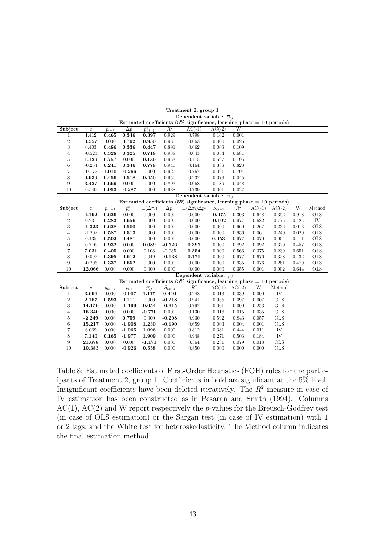|                |                  |                 |                   |                        |                        | Dependent variable: $\bar{p}_{i,t}^e$                                    |             |          |          |                |       |            |
|----------------|------------------|-----------------|-------------------|------------------------|------------------------|--------------------------------------------------------------------------|-------------|----------|----------|----------------|-------|------------|
|                |                  |                 |                   |                        |                        | Estimated coefficients $(5\%$ significance, learning phase = 10 periods) |             |          |          |                |       |            |
| Subject        | $\boldsymbol{c}$ | $\bar{p}_{t-1}$ | $\Delta \bar{p}$  | $\bar{p}^e_{i,t-1}$    | $R^2$                  | $AC(-1)$                                                                 | $AC(-2)$    | W        |          |                |       |            |
| 1              | 1.412            | 0.465           | 0.346             | 0.397                  | 0.929                  | 0.798                                                                    | 0.162       | 0.001    |          |                |       |            |
| $\,2$          | 0.557            | 0.000           | 0.792             | 0.950                  | 0.980                  | 0.063                                                                    | 0.000       | 0.025    |          |                |       |            |
| 3              | 0.403            | 0.486           | 0.336             | 0.447                  | 0.891                  | 0.062                                                                    | 0.008       | 0.109    |          |                |       |            |
| $\overline{4}$ | $-0.523$         | 0.328           | 0.325             | 0.718                  | 0.988                  | 0.043                                                                    | 0.054       | 0.681    |          |                |       |            |
| $\rm 5$        | 1.129            | 0.757           | 0.000             | 0.139                  | 0.963                  | 0.415                                                                    | 0.527       | 0.195    |          |                |       |            |
| $\,6$          | $-0.254$         | 0.241           | 0.346             | 0.778                  | 0.940                  | 0.164                                                                    | 0.388       | 0.823    |          |                |       |            |
| $\overline{7}$ | $-0.172$         | 1.010           | $-0.266$          | 0.000                  | 0.920                  | 0.767                                                                    | 0.021       | 0.704    |          |                |       |            |
| 8              | 0.939            | 0.456           | 0.518             | 0.450                  | 0.950                  | 0.237                                                                    | 0.073       | 0.045    |          |                |       |            |
| 9              | 3.427            | 0.669           | 0.000             | 0.000                  | 0.893                  | 0.068                                                                    | 0.189       | 0.048    |          |                |       |            |
| 10             | 0.540            | 0.953           | $-0.287$          | 0.000                  | 0.938                  | 0.739                                                                    | 0.001       | 0.027    |          |                |       |            |
|                |                  |                 |                   |                        |                        | Dependent variable: $p_{i,t}$                                            |             |          |          |                |       |            |
|                |                  |                 |                   |                        |                        | Estimated coefficients (5% significance, learning phase $= 10$ periods)  |             |          |          |                |       |            |
| Subject        | $\mathbf c$      | $p_{i,t-1}$     | $\bar{p}_{i,t}^e$ | $\pm(\Delta \pi_i)$    | $\Delta p_i$           | $\pm(\Delta \pi_i)\Delta p_i$                                            | $S_{i,t-1}$ | $R^2$    | $AC(-1)$ | $AC(-2)$       | W     | Method     |
| $\mathbf{1}$   | 4.192            | 0.626           | 0.000             | 0.000                  | 0.000                  | 0.000                                                                    | $-0.475$    | 0.303    | 0.648    | 0.352          | 0.918 | <b>OLS</b> |
| $\,2$          | 0.231            | 0.283           | 0.656             | 0.000                  | 0.000                  | 0.000                                                                    | $-0.102$    | 0.977    | 0.682    | 0.776          | 0.425 | IV         |
| $\,3$          | $-1.323$         | 0.628           | 0.500             | 0.000                  | 0.000                  | 0.000                                                                    | 0.000       | 0.960    | 0.267    | 0.236          | 0.013 | <b>OLS</b> |
| $\overline{4}$ | $-1.202$         | 0.587           | 0.513             | 0.000                  | 0.000                  | 0.000                                                                    | 0.000       | 0.956    | 0.061    | 0.240          | 0.020 | <b>OLS</b> |
| $\overline{5}$ | 0.435            | 0.502           | 0.481             | 0.000                  | 0.000                  | 0.000                                                                    | 0.053       | 0.977    | 0.070    | 0.004          | 0.111 | <b>OLS</b> |
| $\,6$          | 0.716            | 0.932           | 0.000             | 0.089                  | $-0.526$               | 0.395                                                                    | 0.000       | 0.892    | 0.092    | 0.320          | 0.457 | <b>OLS</b> |
| $\overline{7}$ | 7.031            | 0.405           | 0.000             | 0.108                  | $-0.085$               | 0.354                                                                    | 0.000       | 0.566    | 0.375    | 0.239          | 0.651 | <b>OLS</b> |
| 8              | $-0.097$         | 0.395           | 0.612             | 0.049                  | $-0.138$               | 0.171                                                                    | 0.000       | 0.977    | 0.676    | 0.328          | 0.132 | <b>OLS</b> |
| 9              | $-0.206$         | 0.337           | 0.652             | 0.000                  | 0.000                  | 0.000                                                                    | 0.000       | 0.935    | 0.076    | 0.261          | 0.470 | <b>OLS</b> |
| 10             | 12.066           | 0.000           | 0.000             | 0.000                  | 0.000                  | 0.000                                                                    | 0.000       | 0.355    | 0.001    | 0.002          | 0.644 | <b>OLS</b> |
|                |                  |                 |                   |                        |                        | Dependent variable: $q_{i,t}$                                            |             |          |          |                |       |            |
|                |                  |                 |                   |                        |                        | Estimated coefficients (5% significance, learning phase $= 10$ periods)  |             |          |          |                |       |            |
| Subject        | $\boldsymbol{c}$ | $q_{i,t-1}$     | $p_{i,t}$         | $\overline{p}_{i,t}^e$ | $\overline{S_{i,t-1}}$ | $R^2$                                                                    | $AC(-1)$    | $AC(-2)$ | W        | Method         |       |            |
| 1              | 3.696            | 0.000           | $-0.907$          | 1.175                  | 0.410                  | 0.248                                                                    | 0.013       | 0.039    | 0.000    | IV <sub></sub> |       |            |
| $\,2$          | 2.167            | 0.593           | 0.111             | 0.000                  | $-0.218$               | 0.941                                                                    | 0.935       | 0.097    | 0.007    | <b>OLS</b>     |       |            |
| $\sqrt{3}$     | 14.150           | 0.000           | $-1.199$          | 0.654                  | $-0.315$               | 0.797                                                                    | 0.001       | 0.000    | 0.253    | <b>OLS</b>     |       |            |
| $\overline{4}$ | 16.340           | 0.000           | 0.000             | $-0.770$               | 0.000                  | 0.130                                                                    | 0.016       | 0.015    | 0.035    | <b>OLS</b>     |       |            |
| $\rm 5$        | $-2.249$         | 0.000           | 0.759             | 0.000                  | $-0.208$               | 0.930                                                                    | 0.592       | 0.843    | 0.057    | <b>OLS</b>     |       |            |
| $\,6$          | 15.217           | 0.000           | $-1.908$          | 1.230                  | $-0.190$               | 0.659                                                                    | 0.003       | 0.004    | 0.001    | <b>OLS</b>     |       |            |
| $\overline{7}$ | 6.069            | 0.000           | $-1.065$          | 1.096                  | 0.000                  | 0.812                                                                    | 0.381       | 0.444    | 0.011    | IV             |       |            |
| 8              | 7.140            | 0.165           | $-1.977$          | 1.909                  | 0.000                  | 0.948                                                                    | 0.271       | 0.503    | 0.184    | IV             |       |            |
| 9              | 21.678           | 0.000           | 0.000             | $-1.171$               | 0.000                  | 0.364                                                                    | 0.231       | 0.079    | 0.018    | <b>OLS</b>     |       |            |
| 10             | 10.383           | 0.000           | $-0.926$          | 0.558                  | 0.000                  | 0.850                                                                    | 0.000       | 0.000    | 0.000    | <b>OLS</b>     |       |            |

Table 8: Estimated coefficients of First-Order Heuristics (FOH) rules for the participants of Treatment 2, group 1. Coefficients in bold are significant at the 5% level. Insignificant coefficients have been deleted iteratively. The  $R^2$  measure in case of IV estimation has been constructed as in Pesaran and Smith (1994). Columns  $AC(1)$ ,  $AC(2)$  and W report respectively the *p*-values for the Breusch-Godfrey test (in case of OLS estimation) or the Sargan test (in case of IV estimation) with 1 or 2 lags, and the White test for heteroskedasticity. The Method column indicates the final estimation method.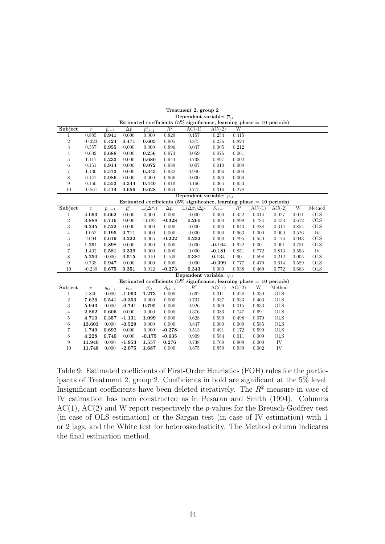|                |                  |                 |                   |                        |              | Dependent variable: $\bar{p}_{i,t}^e$                                    |             |                |          |                 |       |            |
|----------------|------------------|-----------------|-------------------|------------------------|--------------|--------------------------------------------------------------------------|-------------|----------------|----------|-----------------|-------|------------|
|                |                  |                 |                   |                        |              | Estimated coefficients $(5\%$ significance, learning phase = 10 periods) |             |                |          |                 |       |            |
| Subject        | $\boldsymbol{c}$ | $\bar{p}_{t-1}$ | $\Delta \bar{p}$  | $\bar{p}^e_{i,t-1}$    | $R^2$        | $AC(-1)$                                                                 | $AC(-2)$    | W              |          |                 |       |            |
| 1              | 0.885            | 0.941           | 0.000             | 0.000                  | 0.829        | 0.157                                                                    | 0.254       | 0.415          |          |                 |       |            |
| $\,2$          | $-0.323$         | 0.424           | 0.471             | 0.603                  | 0.905        | 0.875                                                                    | 0.236       | 0.824          |          |                 |       |            |
| 3              | 0.557            | 0.955           | 0.000             | 0.000                  | 0.896        | 0.047                                                                    | 0.005       | 0.212          |          |                 |       |            |
| $\overline{4}$ | 0.632            | 0.688           | 0.000             | 0.256                  | 0.973        | 0.059                                                                    | 0.076       | 0.061          |          |                 |       |            |
| $\rm 5$        | 1.117            | 0.233           | 0.000             | 0.680                  | 0.944        | 0.738                                                                    | 0.897       | 0.002          |          |                 |       |            |
| $\,6$          | 0.151            | 0.914           | 0.000             | 0.072                  | 0.989        | 0.007                                                                    | 0.010       | 0.000          |          |                 |       |            |
| $\overline{7}$ | 1.130            | 0.573           | 0.000             | 0.343                  | 0.932        | 0.946                                                                    | 0.396       | 0.000          |          |                 |       |            |
| 8              | 0.147            | 0.986           | 0.000             | 0.000                  | 0.966        | 0.000                                                                    | 0.000       | 0.000          |          |                 |       |            |
| 9              | 0.150            | 0.553           | 0.344             | 0.440                  | 0.919        | 0.166                                                                    | 0.365       | 0.953          |          |                 |       |            |
| 10             | $-0.561$         | 0.414           | 0.656             | 0.628                  | 0.964        | 0.775                                                                    | 0.316       | 0.278          |          |                 |       |            |
|                |                  |                 |                   |                        |              | Dependent variable: $p_{i,t}$                                            |             |                |          |                 |       |            |
|                |                  |                 |                   |                        |              | Estimated coefficients (5% significance, learning phase $= 10$ periods)  |             |                |          |                 |       |            |
| Subject        | $\mathbf c$      | $p_{i,t-1}$     | $\bar{p}_{i,t}^e$ | $\pm(\Delta \pi_i)$    | $\Delta p_i$ | $\pm(\Delta \pi_i)\Delta p_i$                                            | $S_{i,t-1}$ | $\mathbb{R}^2$ | $AC(-1)$ | $AC(-2)$        | W     | Method     |
| $\mathbf{1}$   | 4.093            | 0.662           | 0.000             | 0.000                  | 0.000        | 0.000                                                                    | 0.000       | 0.452          | 0.014    | 0.027           | 0.011 | <b>OLS</b> |
| $\,2$          | 3.888            | 0.716           | 0.000             | $-0.182$               | $-0.328$     | 0.260                                                                    | 0.000       | 0.899          | 0.784    | 0.433           | 0.672 | <b>OLS</b> |
| 3              | 6.245            | 0.522           | 0.000             | 0.000                  | 0.000        | 0.000                                                                    | 0.000       | 0.643          | 0.888    | 0.314           | 0.854 | <b>OLS</b> |
| $\overline{4}$ | 1.052            | 0.195           | 0.711             | 0.000                  | 0.000        | 0.000                                                                    | 0.000       | 0.963          | 0.000    | 0.000           | 0.526 | IV         |
| $\overline{5}$ | 2.094            | 0.619           | 0.222             | 0.005                  | $-0.222$     | 0.232                                                                    | 0.000       | 0.895          | 0.550    | 0.176           | 0.043 | <b>OLS</b> |
| $\,6$          | 1.291            | 0.898           | 0.000             | 0.000                  | 0.000        | 0.000                                                                    | $-0.164$    | 0.922          | 0.001    | 0.001           | 0.751 | <b>OLS</b> |
| $\overline{7}$ | 1.402            | 0.581           | 0.339             | 0.000                  | 0.000        | 0.000                                                                    | $-0.181$    | 0.851          | 0.772    | 0.813           | 0.553 | IV         |
| 8              | 5.250            | 0.000           | 0.515             | 0.010                  | 0.169        | 0.381                                                                    | 0.134       | 0.901          | 0.598    | 0.212           | 0.005 | <b>OLS</b> |
| 9              | 0.738            | 0.947           | 0.000             | 0.000                  | 0.000        | 0.000                                                                    | $-0.399$    | 0.777          | 0.470    | 0.614           | 0.589 | <b>OLS</b> |
| 10             | $-0.239$         | 0.675           | 0.351             | 0.012                  | $-0.273$     | 0.343                                                                    | 0.000       | 0.938          | 0.469    | 0.772           | 0.663 | <b>OLS</b> |
|                |                  |                 |                   |                        |              | Dependent variable: $q_{i,t}$                                            |             |                |          |                 |       |            |
|                |                  |                 |                   |                        |              | Estimated coefficients (5% significance, learning phase $= 10$ periods)  |             |                |          |                 |       |            |
| Subject        | $\boldsymbol{c}$ | $q_{i,t-1}$     | $p_{i,t}$         | $\overline{p}_{i,t}^e$ | $S_{i,t-1}$  | $R^2$                                                                    | $AC(-1)$    | $AC(-2)$       | W        | Method          |       |            |
| 1              | 4.840            | 0.000           | $-1.063$          | 1.273                  | 0.000        | 0.662                                                                    | 0.311       | 0.428          | 0.039    | $_{\text{OLS}}$ |       |            |
| $\,2$          | 7.626            | 0.541           | $-0.353$          | 0.000                  | 0.000        | 0.731                                                                    | 0.937       | 0.933          | 0.403    | <b>OLS</b>      |       |            |
| $\sqrt{3}$     | 5.943            | 0.000           | $-0.741$          | 0.795                  | 0.000        | 0.926                                                                    | 0.009       | 0.015          | 0.633    | <b>OLS</b>      |       |            |
| $\overline{4}$ | 2.862            | 0.606           | 0.000             | 0.000                  | 0.000        | 0.376                                                                    | 0.383       | 0.747          | 0.691    | <b>OLS</b>      |       |            |
| $\rm 5$        | 4.710            | 0.357           | $-1.131$          | 1.099                  | 0.000        | 0.628                                                                    | 0.599       | 0.498          | 0.070    | <b>OLS</b>      |       |            |
| $\,6$          | 13.603           | 0.000           | $-0.529$          | 0.000                  | 0.000        | 0.847                                                                    | 0.000       | 0.000          | 0.585    | <b>OLS</b>      |       |            |
| $\overline{7}$ | 1.749            | 0.692           | 0.000             | 0.000                  | $-0.278$     | 0.513                                                                    | 0.491       | 0.172          | 0.599    | <b>OLS</b>      |       |            |
| 8              | 4.228            | 0.740           | 0.000             | $-0.175$               | $-0.635$     | 0.909                                                                    | 0.584       | 0.011          | 0.009    | <b>OLS</b>      |       |            |
| 9              | 11.940           | 0.000           | $-1.953$          | 1.557                  | 0.276        | 0.738                                                                    | 0.768       | 0.909          | 0.000    | IV              |       |            |
| 10             | 11.748           | 0.000           | $-2.075$          | 1.687                  | 0.000        | 0.875                                                                    | 0.859       | 0.939          | 0.002    | IV              |       |            |

Table 9: Estimated coefficients of First-Order Heuristics (FOH) rules for the participants of Treatment 2, group 2. Coefficients in bold are significant at the 5% level. Insignificant coefficients have been deleted iteratively. The  $R^2$  measure in case of IV estimation has been constructed as in Pesaran and Smith (1994). Columns  $AC(1)$ ,  $AC(2)$  and W report respectively the *p*-values for the Breusch-Godfrey test (in case of OLS estimation) or the Sargan test (in case of IV estimation) with 1 or 2 lags, and the White test for heteroskedasticity. The Method column indicates the final estimation method.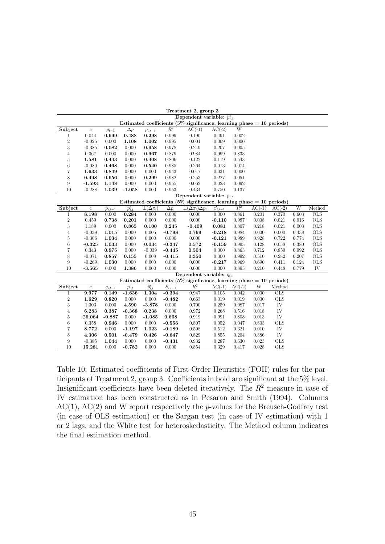|                |                  |                 |                   |                                |                        | Dependent variable: $\overline{p}_{i,t}^e$                                 |             |          |          |                           |       |            |
|----------------|------------------|-----------------|-------------------|--------------------------------|------------------------|----------------------------------------------------------------------------|-------------|----------|----------|---------------------------|-------|------------|
|                |                  |                 |                   |                                |                        | Estimated coefficients (5% significance, learning phase $= 10$ periods)    |             |          |          |                           |       |            |
| Subject        | $\boldsymbol{c}$ | $\bar{p}_{t-1}$ | $\Delta \bar{p}$  | $\overline{\bar{p}_{i,t-1}^e}$ | $\overline{R^2}$       | $AC(-1)$                                                                   | $AC(-2)$    | W        |          |                           |       |            |
| 1              | 0.044            | 0.699           | 0.488             | 0.298                          | 0.999                  | 0.190                                                                      | 0.491       | 0.002    |          |                           |       |            |
| $\,2$          | $-0.025$         | 0.000           | 1.108             | 1.002                          | 0.995                  | 0.001                                                                      | 0.009       | 0.000    |          |                           |       |            |
| 3              | $-0.385$         | 0.082           | 0.000             | 0.958                          | 0.978                  | 0.219                                                                      | 0.207       | 0.005    |          |                           |       |            |
| $\overline{4}$ | 0.367            | 0.000           | 0.000             | 0.967                          | 0.879                  | 0.984                                                                      | 0.999       | 0.833    |          |                           |       |            |
| 5              | 1.581            | 0.443           | 0.000             | 0.408                          | 0.806                  | 0.122                                                                      | 0.119       | 0.543    |          |                           |       |            |
| $\;6\;$        | $-0.080$         | 0.468           | 0.000             | 0.540                          | 0.985                  | 0.264                                                                      | 0.013       | 0.074    |          |                           |       |            |
| $\overline{7}$ | 1.633            | 0.849           | 0.000             | 0.000                          | 0.943                  | 0.017                                                                      | 0.031       | 0.000    |          |                           |       |            |
| 8              | 0.498            | 0.656           | 0.000             | 0.299                          | 0.982                  | 0.253                                                                      | 0.227       | 0.051    |          |                           |       |            |
| 9              | $-1.593$         | 1.148           | 0.000             | 0.000                          | 0.955                  | 0.062                                                                      | 0.023       | 0.092    |          |                           |       |            |
| 10             | $-0.288$         | 1.039           | $-1.058$          | 0.000                          | 0.953                  | 0.434                                                                      | 0.750       | 0.137    |          |                           |       |            |
|                |                  |                 |                   |                                |                        | Dependent variable: $p_{i,t}$                                              |             |          |          |                           |       |            |
|                |                  |                 |                   |                                |                        | Estimated coefficients $(5\%$ significance, learning phase $= 10$ periods) |             |          |          |                           |       |            |
| Subject        | $\mathbf c$      | $p_{i,t-1}$     | $\bar{p}_{i,t}^e$ | $\pm(\Delta \pi_i)$            | $\Delta p_i$           | $\pm(\Delta \pi_i) \Delta p_i$                                             | $S_{i,t-1}$ | $R^2$    | $AC(-1)$ | $AC(-2)$                  | W     | Method     |
| 1              | 8.198            | 0.000           | 0.284             | 0.000                          | 0.000                  | 0.000                                                                      | 0.000       | 0.861    | 0.201    | 0.370                     | 0.603 | OLS        |
| $\,2$          | 0.459            | 0.738           | 0.201             | 0.000                          | 0.000                  | 0.000                                                                      | $-0.110$    | 0.987    | 0.008    | 0.021                     | 0.916 | <b>OLS</b> |
| 3              | 1.189            | 0.000           | 0.865             | 0.100                          | 0.245                  | $-0.409$                                                                   | 0.081       | 0.807    | 0.218    | 0.021                     | 0.003 | <b>OLS</b> |
| $\overline{4}$ | $-0.039$         | 1.015           | 0.000             | 0.005                          | $-0.798$               | 0.769                                                                      | $-0.218$    | 0.984    | 0.000    | 0.000                     | 0.438 | <b>OLS</b> |
| 5              | $-0.306$         | 1.034           | 0.000             | 0.000                          | 0.000                  | 0.000                                                                      | $-0.121$    | 0.989    | 0.928    | 0.722                     | 0.774 | <b>OLS</b> |
| 6              | $-0.325$         | 1.033           | 0.000             | 0.034                          | $-0.347$               | 0.572                                                                      | $-0.159$    | 0.993    | 0.128    | 0.058                     | 0.380 | <b>OLS</b> |
| $\overline{7}$ | 0.343            | 0.975           | 0.000             | $-0.039$                       | $-0.445$               | 0.504                                                                      | 0.000       | 0.863    | 0.712    | 0.850                     | 0.992 | <b>OLS</b> |
| 8              | $-0.071$         | 0.857           | 0.155             | 0.008                          | $-0.415$               | 0.350                                                                      | 0.000       | 0.992    | 0.510    | 0.282                     | 0.207 | <b>OLS</b> |
| 9              | $-0.269$         | 1.030           | 0.000             | 0.000                          | 0.000                  | 0.000                                                                      | $-0.217$    | 0.969    | 0.690    | 0.411                     | 0.124 | <b>OLS</b> |
| 10             | $-3.565$         | 0.000           | 1.386             | 0.000                          | 0.000                  | 0.000                                                                      | 0.000       | 0.895    | 0.210    | 0.448                     | 0.779 | IV         |
|                |                  |                 |                   |                                |                        | Dependent variable: $q_{i,t}$                                              |             |          |          |                           |       |            |
|                |                  |                 |                   |                                |                        | Estimated coefficients ( $5\%$ significance, learning phase = 10 periods)  |             |          |          |                           |       |            |
| Subject        | $\boldsymbol{c}$ | $q_{i,t-1}$     | $p_{i,t}$         | $\overline{p}_{i,t}^e$         | $\overline{S}_{i,t-1}$ | $\overline{R^2}$                                                           | $AC(-1)$    | $AC(-2)$ | W        | Method                    |       |            |
| $\mathbf{1}$   | 9.977            | 0.149           | $-1.636$          | 1.304                          | $-0.394$               | 0.947                                                                      | 0.105       | 0.042    | 0.000    | $\overline{\mathrm{OLS}}$ |       |            |
| $\,2$          | 1.629            | 0.820           | 0.000             | 0.000                          | $-0.482$               | 0.663                                                                      | 0.019       | 0.019    | 0.000    | <b>OLS</b>                |       |            |
| 3              | 1.303            | 0.000           | 4.590             | $-3.878$                       | 0.000                  | 0.700                                                                      | 0.259       | 0.087    | 0.017    | IV                        |       |            |
| $\overline{4}$ | 6.283            | 0.387           | $-0.368$          | 0.238                          | 0.000                  | 0.972                                                                      | 0.268       | 0.516    | 0.018    | IV                        |       |            |
| $\overline{5}$ | 26.064           | $-0.887$        | 0.000             | $-1.085$                       | 0.668                  | 0.919                                                                      | 0.991       | 0.808    | 0.013    | IV                        |       |            |
| 6              | 0.358            | 0.946           | 0.000             | 0.000                          | $-0.556$               | 0.807                                                                      | 0.052       | 0.047    | 0.803    | <b>OLS</b>                |       |            |
| $\overline{7}$ | 8.772            | 0.000           | $-1.197$          | 1.023                          | $-0.189$               | 0.598                                                                      | 0.512       | 0.321    | 0.010    | IV                        |       |            |
| 8              | 4.306            | 0.501           | $-0.479$          | 0.426                          | $-0.647$               | 0.829                                                                      | 0.855       | 0.204    | 0.886    | IV                        |       |            |
| 9              | $-0.385$         | 1.044           | 0.000             | 0.000                          | $-0.431$               | 0.932                                                                      | 0.287       | 0.630    | 0.023    | <b>OLS</b>                |       |            |
| 10             | 15.281           | 0.000           | $-0.782$          | 0.000                          | 0.000                  | 0.854                                                                      | 0.329       | 0.417    | 0.028    | <b>OLS</b>                |       |            |

Table 10: Estimated coefficients of First-Order Heuristics (FOH) rules for the participants of Treatment 2, group 3. Coefficients in bold are significant at the 5% level. Insignificant coefficients have been deleted iteratively. The  $R<sup>2</sup>$  measure in case of IV estimation has been constructed as in Pesaran and Smith (1994). Columns  $AC(1)$ ,  $AC(2)$  and W report respectively the p-values for the Breusch-Godfrey test (in case of OLS estimation) or the Sargan test (in case of IV estimation) with 1 or 2 lags, and the White test for heteroskedasticity. The Method column indicates the final estimation method.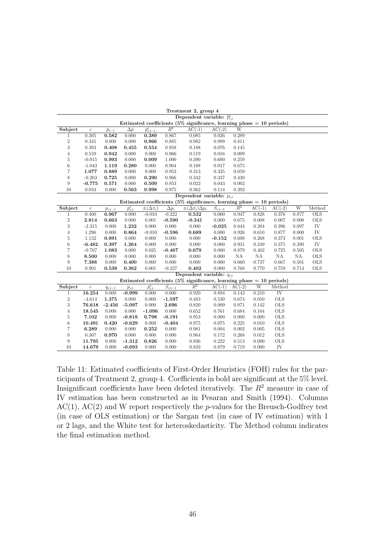|                |                  |                 |                        |                                |                                    | Dependent variable: $\overline{p}_{i,t}^e$                              |                        |          |          |                        |       |            |
|----------------|------------------|-----------------|------------------------|--------------------------------|------------------------------------|-------------------------------------------------------------------------|------------------------|----------|----------|------------------------|-------|------------|
|                |                  |                 |                        |                                |                                    | Estimated coefficients (5% significance, learning phase $= 10$ periods) |                        |          |          |                        |       |            |
| Subject        | $\boldsymbol{c}$ | $\bar{p}_{t-1}$ | $\Delta \bar{p}$       | $\overline{\bar{p}^e_{i,t-1}}$ | $\overline{R^2}$                   | $AC(-1)$                                                                | $AC(-2)$               | W        |          |                        |       |            |
| 1              | 0.305            | 0.582           | 0.000                  | 0.389                          | 0.867                              | 0.085                                                                   | 0.026                  | 0.289    |          |                        |       |            |
| $\,2$          | 0.345            | 0.000           | 0.000                  | 0.966                          | 0.885                              | 0.982                                                                   | 0.999                  | 0.811    |          |                        |       |            |
| 3              | 0.383            | 0.408           | 0.455                  | 0.554                          | 0.958                              | 0.188                                                                   | 0.076                  | 0.145    |          |                        |       |            |
| $\overline{4}$ | 0.559            | 0.942           | 0.000                  | 0.000                          | 0.966                              | 0.519                                                                   | 0.016                  | 0.009    |          |                        |       |            |
| 5              | $-0.015$         | 0.993           | 0.000                  | 0.009                          | 1.000                              | 0.390                                                                   | 0.600                  | 0.259    |          |                        |       |            |
| $\;6\;$        | $-1.043$         | 1.119           | 0.280                  | 0.000                          | 0.904                              | 0.188                                                                   | 0.017                  | 0.675    |          |                        |       |            |
| $\overline{7}$ | 1.077            | 0.889           | 0.000                  | 0.000                          | 0.953                              | 0.313                                                                   | 0.335                  | 0.059    |          |                        |       |            |
| 8              | $-0.263$         | 0.725           | 0.000                  | 0.290                          | 0.966                              | 0.342                                                                   | 0.337                  | 0.430    |          |                        |       |            |
| 9              | $-0.775$         | 0.571           | 0.000                  | 0.509                          | 0.953                              | 0.022                                                                   | 0.043                  | 0.002    |          |                        |       |            |
| 10             | 0.034            | 0.000           | 0.563                  | 0.998                          | 0.975                              | 0.362                                                                   | 0.114                  | 0.392    |          |                        |       |            |
|                |                  |                 |                        |                                |                                    | Dependent variable: $p_{i,t}$                                           |                        |          |          |                        |       |            |
|                |                  |                 |                        |                                |                                    | Estimated coefficients (5% significance, learning phase $=$ 10 periods) |                        |          |          |                        |       |            |
| Subject        | $\mathbf c$      | $p_{i,t-1}$     | $\overline{p}_{i,t}^e$ | $\pm(\Delta \pi_i)$            | $\overline{\Delta p_i}$            | $\pm(\Delta \pi_i) \Delta p_i$                                          | $\overline{S_{i,t-1}}$ | $R^2$    | $AC(-1)$ | $AC(-2)$               | W     | Method     |
| 1              | 0.400            | 0.967           | 0.000                  | $-0.010$                       | $-0.222$                           | 0.532                                                                   | 0.000                  | 0.947    | 0.828    | 0.376                  | 0.877 | OLS        |
| $\overline{2}$ | 2.814            | 0.663           | 0.000                  | 0.001                          | $-0.590$                           | $-0.341$                                                                | 0.000                  | 0.675    | 0.008    | 0.007                  | 0.000 | <b>OLS</b> |
| 3              | $-2.315$         | 0.000           | 1.232                  | 0.000                          | 0.000                              | 0.000                                                                   | $-0.025$               | 0.844    | 0.284    | 0.396                  | 0.097 | IV         |
| $\overline{4}$ | 1.296            | 0.000           | 0.864                  | $-0.010$                       | $-0.596$                           | 0.689                                                                   | 0.000                  | 0.926    | 0.610    | 0.877                  | 0.000 | IV         |
| 5              | 1.132            | 0.891           | 0.000                  | 0.000                          | 0.000                              | 0.000                                                                   | $-0.152$               | 0.698    | 0.268    | 0.373                  | 0.001 | <b>OLS</b> |
| 6              | $-6.482$         | 0.397           | 1.264                  | 0.000                          | 0.000                              | 0.000                                                                   | 0.000                  | 0.931    | 0.249    | 0.375                  | 0.390 | IV         |
| $\overline{7}$ | $-0.767$         | 1.083           | 0.000                  | 0.025                          | $-0.467$                           | 0.679                                                                   | 0.000                  | 0.879    | 0.402    | 0.725                  | 0.505 | <b>OLS</b> |
| 8              | 8.500            | 0.000           | 0.000                  | 0.000                          | 0.000                              | 0.000                                                                   | 0.000                  | NA       | NA       | NA                     | NA    | <b>OLS</b> |
| 9              | 7.388            | 0.000           | 0.400                  | 0.000                          | 0.000                              | 0.000                                                                   | 0.000                  | 0.660    | 0.737    | 0.667                  | 0.501 | <b>OLS</b> |
| 10             | 0.901            | 0.538           | 0.362                  | 0.001                          | $-0.227$                           | 0.402                                                                   | 0.000                  | 0.768    | 0.770    | 0.759                  | 0.714 | <b>OLS</b> |
|                |                  |                 |                        |                                |                                    | Dependent variable: $q_{i,t}$                                           |                        |          |          |                        |       |            |
|                |                  |                 |                        |                                |                                    | Estimated coefficients (5% significance, learning phase $= 10$ periods) |                        |          |          |                        |       |            |
| Subject        | $\boldsymbol{c}$ | $q_{i,t-1}$     | $p_{i,t}$              | $\overline{p}_{i,t}^e$         | $\overline{S_{i,\underline{t-1}}}$ | $\overline{R^2}$                                                        | $AC(-1)$               | $AC(-2)$ | W        | Method                 |       |            |
| $\mathbf{1}$   | 16.254           | 0.000           | $-0.999$               | 0.000                          | 0.000                              | 0.920                                                                   | 0.894                  | 0.143    | 0.210    | $\overline{\text{IV}}$ |       |            |
| $\,2$          | $-4.614$         | 1.375           | 0.000                  | 0.000                          | $-1.597$                           | 0.483                                                                   | 0.530                  | 0.674    | 0.050    | <b>OLS</b>             |       |            |
| 3              | 76.618           | $-2.456$        | $-5.097$               | 0.000                          | 2.696                              | 0.820                                                                   | 0.009                  | 0.071    | 0.142    | <b>OLS</b>             |       |            |
| $\overline{4}$ | 18.545           | 0.000           | 0.000                  | $-1.096$                       | 0.000                              | 0.652                                                                   | 0.761                  | 0.684    | 0.164    | <b>OLS</b>             |       |            |
| $\overline{5}$ | 7.102            | 0.000           | $-0.818$               | 0.798                          | $-0.191$                           | 0.953                                                                   | 0.000                  | 0.000    | 0.000    | <b>OLS</b>             |       |            |
| 6              | 10.491           | 0.420           | $-0.629$               | 0.000                          | $-0.404$                           | 0.975                                                                   | 0.075                  | 0.225    | 0.010    | <b>OLS</b>             |       |            |
| $\overline{7}$ | 6.289            | 0.000           | 0.000                  | 0.252                          | 0.000                              | 0.981                                                                   | 0.004                  | 0.002    | 0.005    | <b>OLS</b>             |       |            |
| 8              | 0.307            | 0.970           | 0.000                  | 0.000                          | 0.000                              | 0.964                                                                   | 0.172                  | 0.268    | 0.012    | <b>OLS</b>             |       |            |
| 9              | 11.795           | 0.000           | $-1.312$               | 0.826                          | 0.000                              | 0.936                                                                   | 0.222                  | 0.513    | 0.000    | <b>OLS</b>             |       |            |
| 10             | 14.679           | 0.000           | $-0.693$               | 0.000                          | 0.000                              | 0.833                                                                   | 0.879                  | 0.719    | 0.000    | IV                     |       |            |

Table 11: Estimated coefficients of First-Order Heuristics (FOH) rules for the participants of Treatment 2, group 4. Coefficients in bold are significant at the 5% level. Insignificant coefficients have been deleted iteratively. The  $R<sup>2</sup>$  measure in case of IV estimation has been constructed as in Pesaran and Smith (1994). Columns  $AC(1)$ ,  $AC(2)$  and W report respectively the p-values for the Breusch-Godfrey test (in case of OLS estimation) or the Sargan test (in case of IV estimation) with 1 or 2 lags, and the White test for heteroskedasticity. The Method column indicates the final estimation method.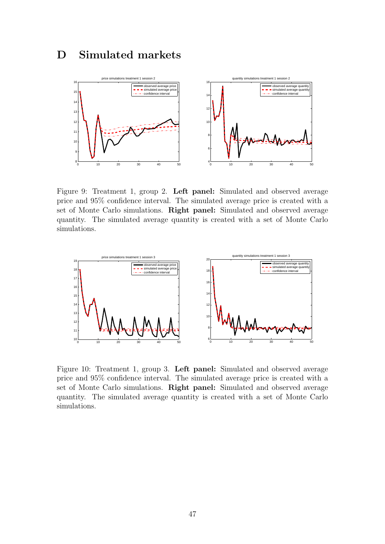# D Simulated markets



Figure 9: Treatment 1, group 2. Left panel: Simulated and observed average price and 95% confidence interval. The simulated average price is created with a set of Monte Carlo simulations. Right panel: Simulated and observed average quantity. The simulated average quantity is created with a set of Monte Carlo simulations.



Figure 10: Treatment 1, group 3. Left panel: Simulated and observed average price and 95% confidence interval. The simulated average price is created with a set of Monte Carlo simulations. Right panel: Simulated and observed average quantity. The simulated average quantity is created with a set of Monte Carlo simulations.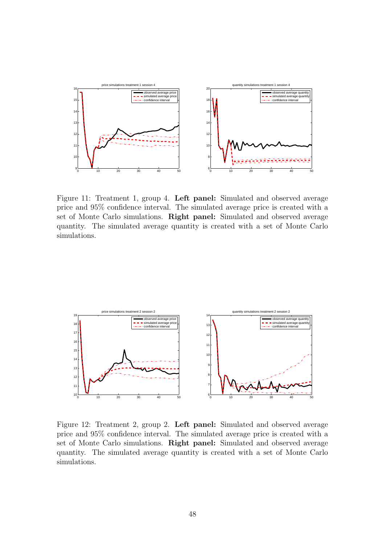

Figure 11: Treatment 1, group 4. Left panel: Simulated and observed average price and 95% confidence interval. The simulated average price is created with a set of Monte Carlo simulations. Right panel: Simulated and observed average quantity. The simulated average quantity is created with a set of Monte Carlo simulations.



Figure 12: Treatment 2, group 2. Left panel: Simulated and observed average price and 95% confidence interval. The simulated average price is created with a set of Monte Carlo simulations. Right panel: Simulated and observed average quantity. The simulated average quantity is created with a set of Monte Carlo simulations.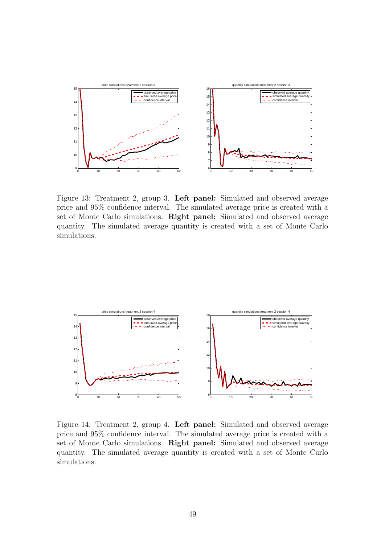

Figure 13: Treatment 2, group 3. Left panel: Simulated and observed average price and 95% confidence interval. The simulated average price is created with a set of Monte Carlo simulations. Right panel: Simulated and observed average quantity. The simulated average quantity is created with a set of Monte Carlo simulations.



Figure 14: Treatment 2, group 4. Left panel: Simulated and observed average price and 95% confidence interval. The simulated average price is created with a set of Monte Carlo simulations. Right panel: Simulated and observed average quantity. The simulated average quantity is created with a set of Monte Carlo simulations.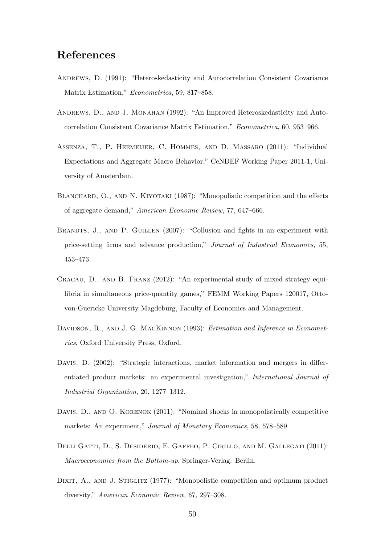# References

- ANDREWS, D. (1991): "Heteroskedasticity and Autocorrelation Consistent Covariance Matrix Estimation," Econometrica, 59, 817–858.
- Andrews, D., and J. Monahan (1992): "An Improved Heteroskedasticity and Autocorrelation Consistent Covariance Matrix Estimation," Econometrica, 60, 953–966.
- Assenza, T., P. Heemeijer, C. Hommes, and D. Massaro (2011): "Individual Expectations and Aggregate Macro Behavior," CeNDEF Working Paper 2011-1, University of Amsterdam.
- BLANCHARD, O., AND N. KIYOTAKI (1987): "Monopolistic competition and the effects of aggregate demand," American Economic Review, 77, 647–666.
- BRANDTS, J., AND P. GUILLEN (2007): "Collusion and fights in an experiment with price-setting firms and advance production," Journal of Industrial Economics, 55, 453–473.
- Cracau, D., and B. Franz (2012): "An experimental study of mixed strategy equilibria in simultaneous price-quantity games," FEMM Working Papers 120017, Ottovon-Guericke University Magdeburg, Faculty of Economics and Management.
- DAVIDSON, R., AND J. G. MACKINNON (1993): *Estimation and Inference in Economet*rics. Oxford University Press, Oxford.
- DAVIS, D. (2002): "Strategic interactions, market information and mergers in differentiated product markets: an experimental investigation," International Journal of Industrial Organization, 20, 1277–1312.
- DAVIS, D., AND O. KORENOK (2011): "Nominal shocks in monopolistically competitive markets: An experiment," Journal of Monetary Economics, 58, 578–589.
- DELLI GATTI, D., S. DESIDERIO, E. GAFFEO, P. CIRILLO, AND M. GALLEGATI (2011): Macroeconomics from the Bottom-up. Springer-Verlag: Berlin.
- DIXIT, A., AND J. STIGLITZ (1977): "Monopolistic competition and optimum product diversity," American Economic Review, 67, 297–308.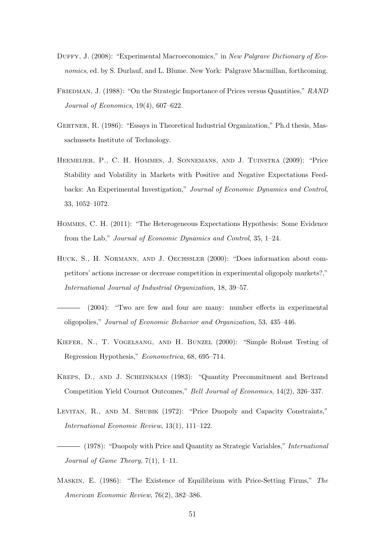- DUFFY, J. (2008): "Experimental Macroeconomics," in New Palgrave Dictionary of Economics, ed. by S. Durlauf, and L. Blume. New York: Palgrave Macmillan, forthcoming.
- FRIEDMAN, J. (1988): "On the Strategic Importance of Prices versus Quantities," RAND Journal of Economics, 19(4), 607–622.
- GERTNER, R. (1986): "Essays in Theoretical Industrial Organization," Ph.d thesis, Massachussets Institute of Technology.
- Heemeijer, P., C. H. Hommes, J. Sonnemans, and J. Tuinstra (2009): "Price Stability and Volatility in Markets with Positive and Negative Expectations Feedbacks: An Experimental Investigation," Journal of Economic Dynamics and Control, 33, 1052–1072.
- Hommes, C. H. (2011): "The Heterogeneous Expectations Hypothesis: Some Evidence from the Lab," Journal of Economic Dynamics and Control, 35, 1–24.
- Huck, S., H. Normann, and J. Oechssler (2000): "Does information about competitors' actions increase or decrease competition in experimental oligopoly markets?," International Journal of Industrial Organization, 18, 39–57.
- (2004): "Two are few and four are many: number effects in experimental oligopolies," Journal of Economic Behavior and Organization, 53, 435–446.
- Kiefer, N., T. Vogelsang, and H. Bunzel (2000): "Simple Robust Testing of Regression Hypothesis," Econometrica, 68, 695–714.
- Kreps, D., and J. Scheinkman (1983): "Quantity Precommitment and Bertrand Competition Yield Cournot Outcomes," Bell Journal of Economics, 14(2), 326–337.
- LEVITAN, R., AND M. SHUBIK (1972): "Price Duopoly and Capacity Constraints," International Economic Review, 13(1), 111–122.
- $-$  (1978): "Duopoly with Price and Quantity as Strategic Variables," *International* Journal of Game Theory, 7(1), 1–11.
- Maskin, E. (1986): "The Existence of Equilibrium with Price-Setting Firms," The American Economic Review, 76(2), 382–386.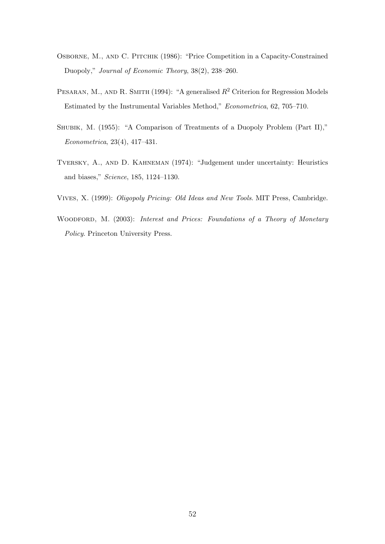- Osborne, M., and C. Pitchik (1986): "Price Competition in a Capacity-Constrained Duopoly," Journal of Economic Theory, 38(2), 238–260.
- PESARAN, M., AND R. SMITH (1994): "A generalised  $R^2$  Criterion for Regression Models Estimated by the Instrumental Variables Method," Econometrica, 62, 705–710.
- SHUBIK, M. (1955): "A Comparison of Treatments of a Duopoly Problem (Part II)," Econometrica, 23(4), 417–431.
- Tversky, A., and D. Kahneman (1974): "Judgement under uncertainty: Heuristics and biases," Science, 185, 1124–1130.
- Vives, X. (1999): Oligopoly Pricing: Old Ideas and New Tools. MIT Press, Cambridge.
- WOODFORD, M. (2003): Interest and Prices: Foundations of a Theory of Monetary Policy. Princeton University Press.